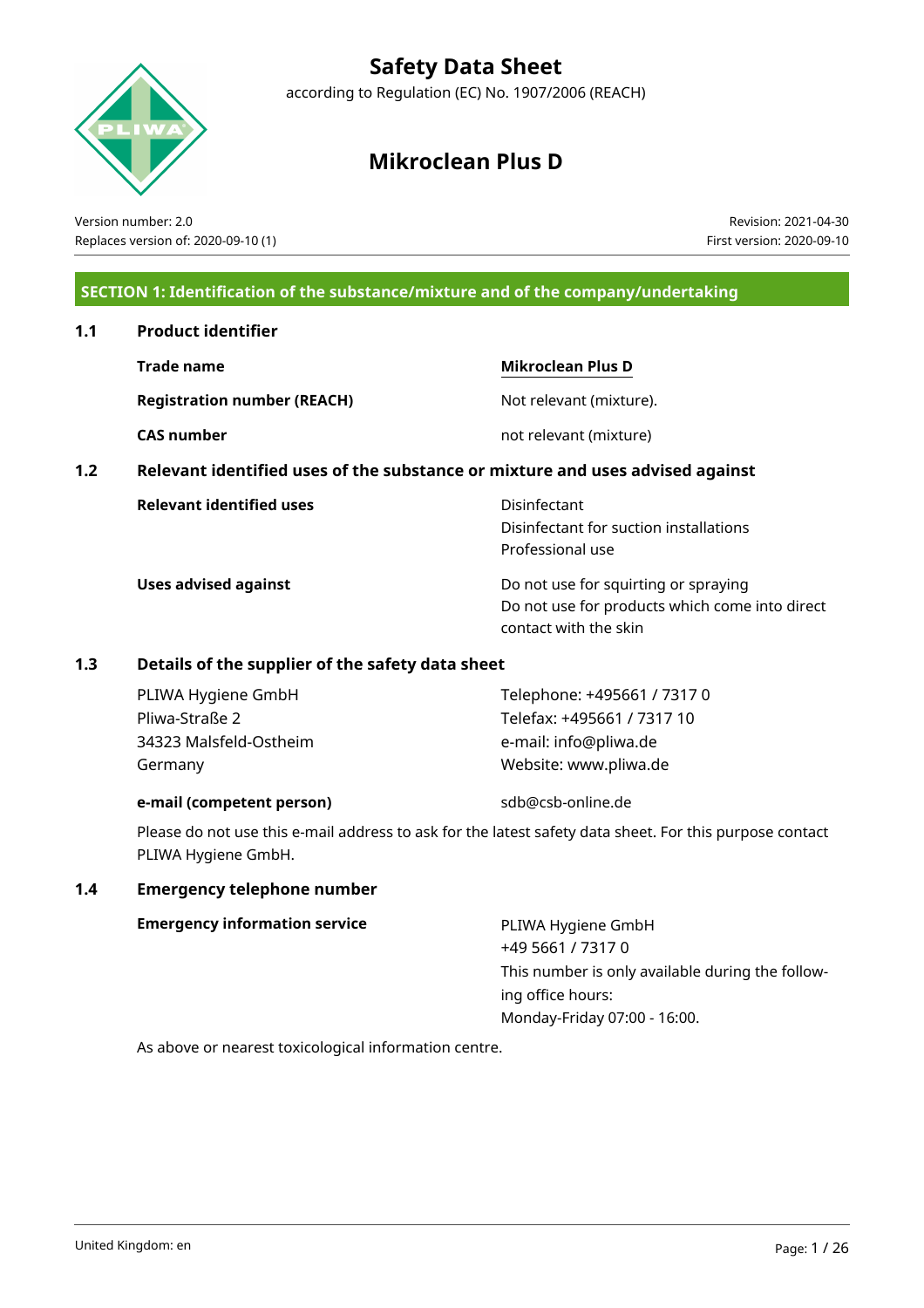

## **Safety Data Sheet**

according to Regulation (EC) No. 1907/2006 (REACH)

## **Mikroclean Plus D**

Version number: 2.0 Replaces version of: 2020-09-10 (1)

Revision: 2021-04-30 First version: 2020-09-10

## **SECTION 1: Identification of the substance/mixture and of the company/undertaking**

## **1.1 Product identifier**

|     | Trade name                                                                    | <b>Mikroclean Plus D</b>                                                                                        |
|-----|-------------------------------------------------------------------------------|-----------------------------------------------------------------------------------------------------------------|
|     | <b>Registration number (REACH)</b>                                            | Not relevant (mixture).                                                                                         |
|     | <b>CAS number</b>                                                             | not relevant (mixture)                                                                                          |
| 1.2 | Relevant identified uses of the substance or mixture and uses advised against |                                                                                                                 |
|     | <b>Relevant identified uses</b>                                               | Disinfectant<br>Disinfectant for suction installations<br>Professional use                                      |
|     | <b>Uses advised against</b>                                                   | Do not use for squirting or spraying<br>Do not use for products which come into direct<br>contact with the skin |

## **1.3 Details of the supplier of the safety data sheet**

| PLIWA Hygiene GmbH     | Telephone: +495661 / 7317 0 |
|------------------------|-----------------------------|
| Pliwa-Straße 2         | Telefax: +495661 / 7317 10  |
| 34323 Malsfeld-Ostheim | e-mail: info@pliwa.de       |
| Germany                | Website: www.pliwa.de       |
|                        |                             |

## **e-mail (competent person)** sdb@csb-online.de

Please do not use this e-mail address to ask for the latest safety data sheet. For this purpose contact PLIWA Hygiene GmbH.

## **1.4 Emergency telephone number**

|  |  | <b>Emergency information service</b> |  |
|--|--|--------------------------------------|--|
|--|--|--------------------------------------|--|

**PLIWA Hygiene GmbH** +49 5661 / 7317 0 This number is only available during the following office hours: Monday-Friday 07:00 - 16:00.

As above or nearest toxicological information centre.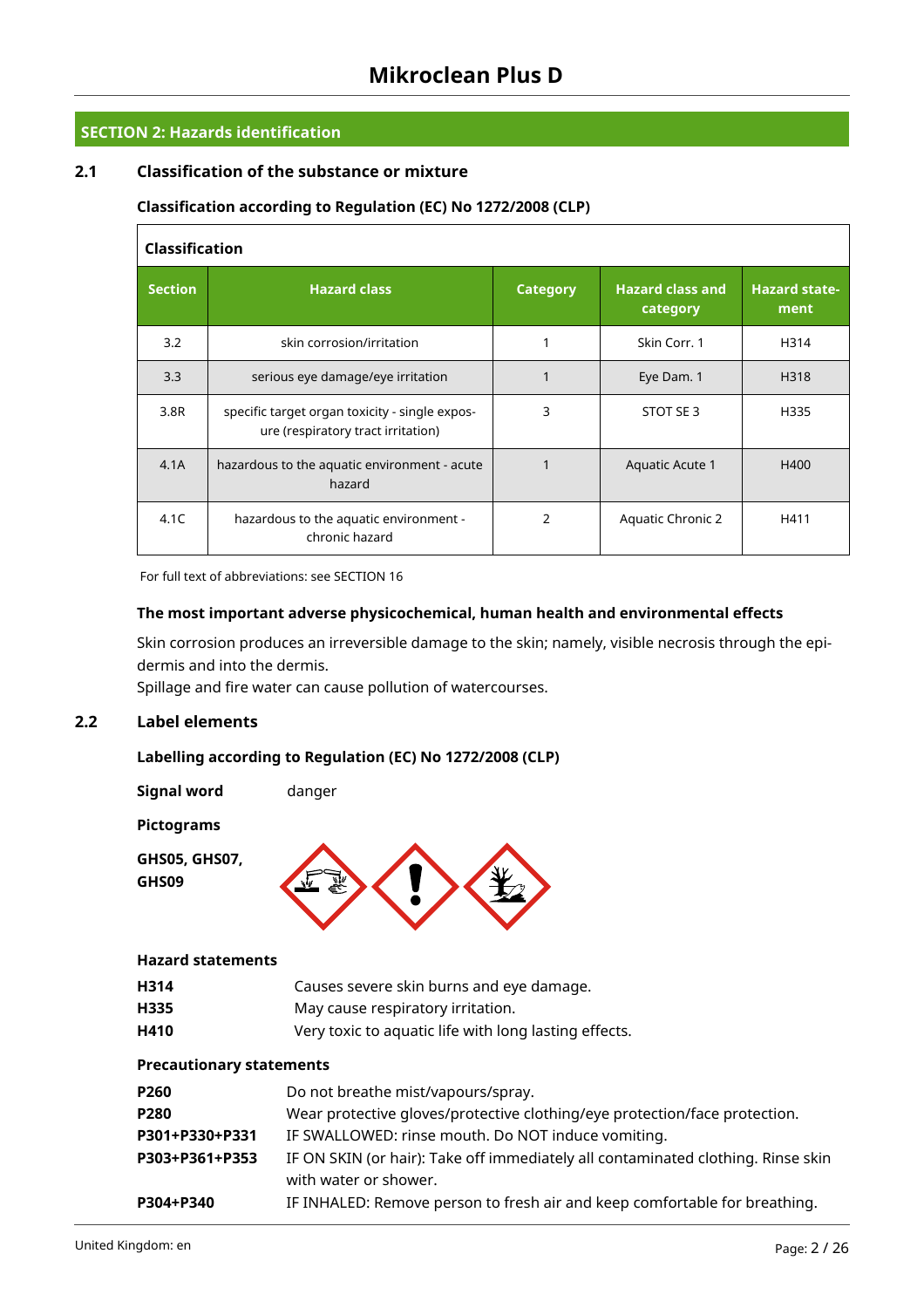## **SECTION 2: Hazards identification**

## **2.1 Classification of the substance or mixture**

## **Classification according to Regulation (EC) No 1272/2008 (CLP)**

| <b>Classification</b> |                                                                                      |                 |                                     |                              |  |  |  |  |  |
|-----------------------|--------------------------------------------------------------------------------------|-----------------|-------------------------------------|------------------------------|--|--|--|--|--|
| <b>Section</b>        | <b>Hazard class</b>                                                                  | <b>Category</b> | <b>Hazard class and</b><br>category | <b>Hazard state-</b><br>ment |  |  |  |  |  |
| 3.2                   | skin corrosion/irritation                                                            |                 | Skin Corr. 1                        | H314                         |  |  |  |  |  |
| 3.3                   | serious eye damage/eye irritation                                                    |                 | Eye Dam. 1                          | H318                         |  |  |  |  |  |
| 3.8R                  | specific target organ toxicity - single expos-<br>ure (respiratory tract irritation) | 3               | STOT SE 3                           | H335                         |  |  |  |  |  |
| 4.1A                  | hazardous to the aquatic environment - acute<br>hazard                               |                 | Aquatic Acute 1                     | H400                         |  |  |  |  |  |
| 4.1C                  | hazardous to the aquatic environment -<br>chronic hazard                             | C               | <b>Aquatic Chronic 2</b>            | H411                         |  |  |  |  |  |

For full text of abbreviations: see SECTION 16

#### **The most important adverse physicochemical, human health and environmental effects**

Skin corrosion produces an irreversible damage to the skin; namely, visible necrosis through the epidermis and into the dermis.

Spillage and fire water can cause pollution of watercourses.

## **2.2 Label elements**

## **Labelling according to Regulation (EC) No 1272/2008 (CLP)**

**Signal word** danger

**Pictograms**

**GHS05, GHS07,**





## **Hazard statements**

| H314 | Causes severe skin burns and eye damage.              |
|------|-------------------------------------------------------|
| H335 | May cause respiratory irritation.                     |
| H410 | Very toxic to aquatic life with long lasting effects. |

## **Precautionary statements**

| P260           | Do not breathe mist/vapours/spray.                                               |
|----------------|----------------------------------------------------------------------------------|
| <b>P280</b>    | Wear protective gloves/protective clothing/eye protection/face protection.       |
| P301+P330+P331 | IF SWALLOWED: rinse mouth. Do NOT induce vomiting.                               |
| P303+P361+P353 | IF ON SKIN (or hair): Take off immediately all contaminated clothing. Rinse skin |
|                | with water or shower.                                                            |
| P304+P340      | IF INHALED: Remove person to fresh air and keep comfortable for breathing.       |
|                |                                                                                  |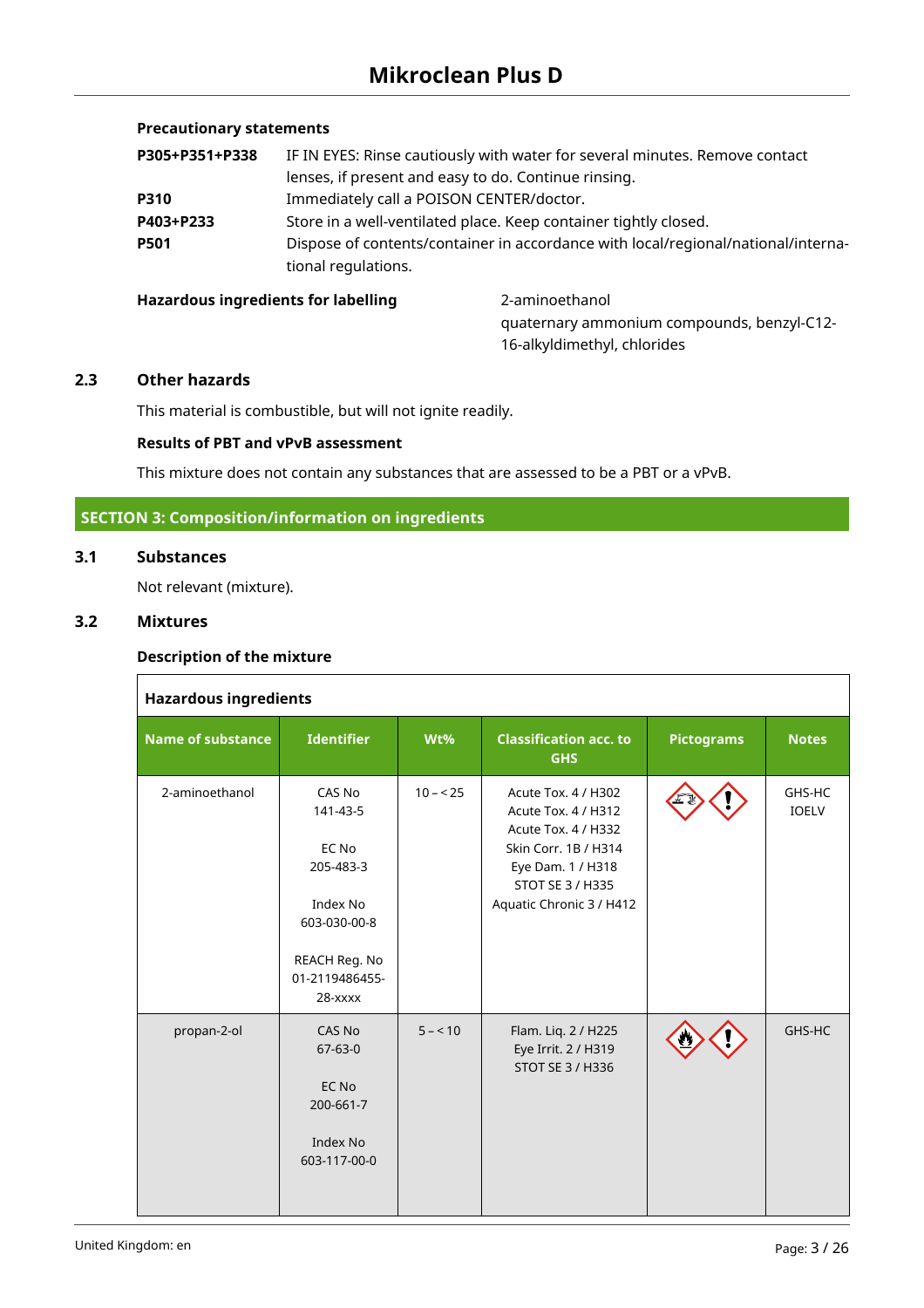## **Precautionary statements**

| P305+P351+P338 | IF IN EYES: Rinse cautiously with water for several minutes. Remove contact                              |
|----------------|----------------------------------------------------------------------------------------------------------|
|                | lenses, if present and easy to do. Continue rinsing.                                                     |
| <b>P310</b>    | Immediately call a POISON CENTER/doctor.                                                                 |
| P403+P233      | Store in a well-ventilated place. Keep container tightly closed.                                         |
| <b>P501</b>    | Dispose of contents/container in accordance with local/regional/national/interna-<br>tional regulations. |

#### **Hazardous ingredients for labelling** 2-aminoethanol

quaternary ammonium compounds, benzyl-C12- 16-alkyldimethyl, chlorides

#### **2.3 Other hazards**

This material is combustible, but will not ignite readily.

#### **Results of PBT and vPvB assessment**

This mixture does not contain any substances that are assessed to be a PBT or a vPvB.

## **SECTION 3: Composition/information on ingredients**

## **3.1 Substances**

Not relevant (mixture).

## **3.2 Mixtures**

#### **Description of the mixture**

| <b>Hazardous ingredients</b> |                                                                                                                      |           |                                                                                                                                                                |                   |                        |  |  |  |  |  |
|------------------------------|----------------------------------------------------------------------------------------------------------------------|-----------|----------------------------------------------------------------------------------------------------------------------------------------------------------------|-------------------|------------------------|--|--|--|--|--|
| <b>Name of substance</b>     | <b>Identifier</b>                                                                                                    | Wt%       | <b>Classification acc. to</b><br><b>GHS</b>                                                                                                                    | <b>Pictograms</b> | <b>Notes</b>           |  |  |  |  |  |
| 2-aminoethanol               | CAS No<br>141-43-5<br>EC No<br>205-483-3<br>Index No<br>603-030-00-8<br>REACH Reg. No<br>01-2119486455-<br>$28  xxx$ | $10 - 25$ | Acute Tox. 4 / H302<br>Acute Tox. 4 / H312<br>Acute Tox. 4 / H332<br>Skin Corr. 1B / H314<br>Eye Dam. 1 / H318<br>STOT SE 3 / H335<br>Aquatic Chronic 3 / H412 |                   | GHS-HC<br><b>IOELV</b> |  |  |  |  |  |
| propan-2-ol                  | CAS No<br>$67 - 63 - 0$<br>EC No<br>200-661-7<br>Index No<br>603-117-00-0                                            | $5 - 10$  | Flam. Liq. 2 / H225<br>Eye Irrit. 2 / H319<br><b>STOT SE 3 / H336</b>                                                                                          |                   | GHS-HC                 |  |  |  |  |  |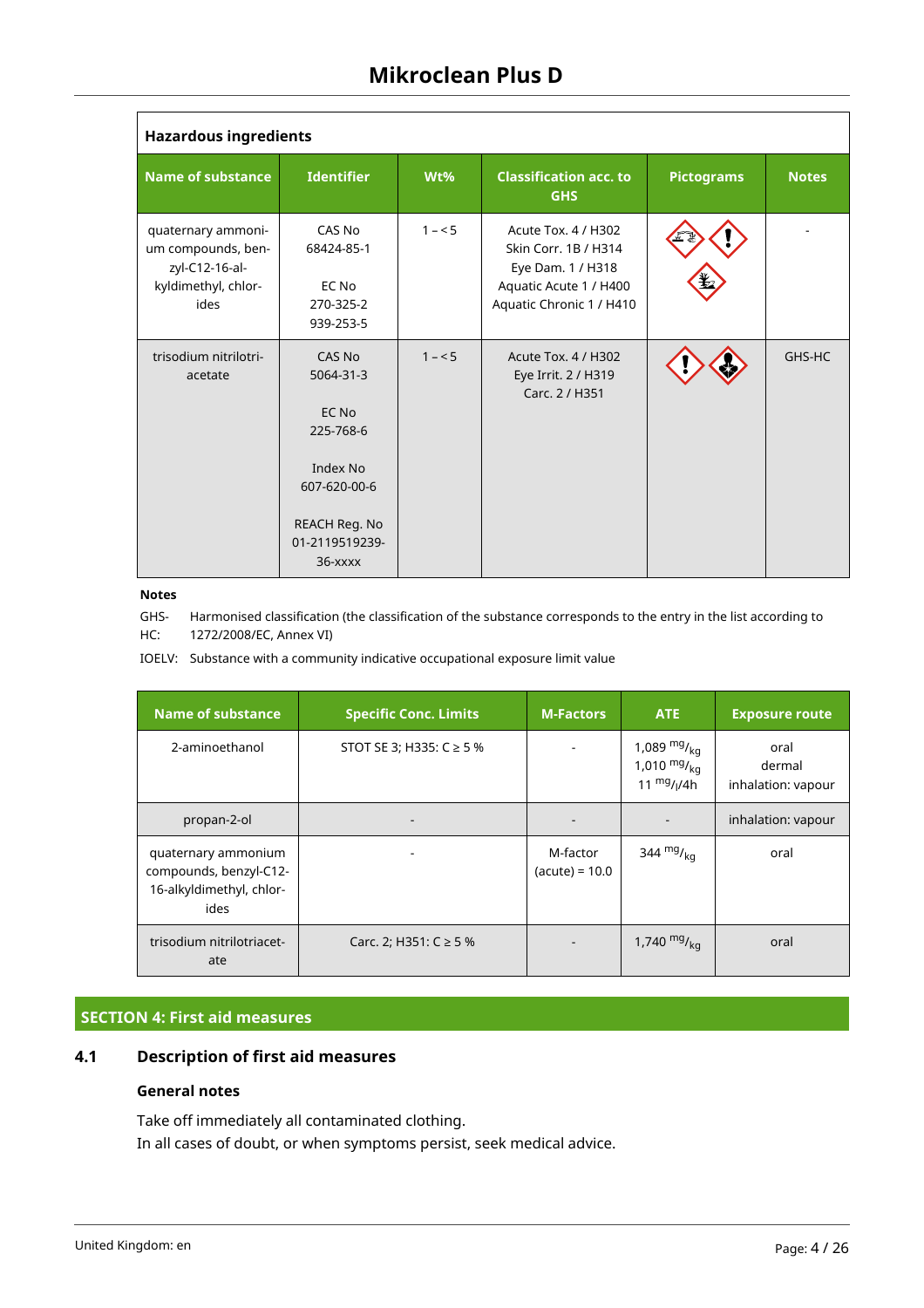| <b>Hazardous ingredients</b>                                                              |                                                                                                                     |         |                                                                                                                        |                   |              |  |  |  |  |
|-------------------------------------------------------------------------------------------|---------------------------------------------------------------------------------------------------------------------|---------|------------------------------------------------------------------------------------------------------------------------|-------------------|--------------|--|--|--|--|
| <b>Name of substance</b>                                                                  | <b>Identifier</b>                                                                                                   | Wt%     | <b>Classification acc. to</b><br><b>GHS</b>                                                                            | <b>Pictograms</b> | <b>Notes</b> |  |  |  |  |
| quaternary ammoni-<br>um compounds, ben-<br>zyl-C12-16-al-<br>kyldimethyl, chlor-<br>ides | CAS No<br>68424-85-1<br>EC No<br>270-325-2<br>939-253-5                                                             | $1 - 5$ | Acute Tox. 4 / H302<br>Skin Corr. 1B / H314<br>Eye Dam. 1 / H318<br>Aquatic Acute 1 / H400<br>Aquatic Chronic 1 / H410 |                   |              |  |  |  |  |
| trisodium nitrilotri-<br>acetate                                                          | CAS No<br>5064-31-3<br>EC No<br>225-768-6<br>Index No<br>607-620-00-6<br>REACH Reg. No<br>01-2119519239-<br>36-xxxx | $1 - 5$ | Acute Tox. 4 / H302<br>Eye Irrit. 2 / H319<br>Carc. 2 / H351                                                           |                   | GHS-HC       |  |  |  |  |

## **Notes**

GHS-HC: Harmonised classification (the classification of the substance corresponds to the entry in the list according to 1272/2008/EC, Annex VI)

IOELV: Substance with a community indicative occupational exposure limit value

| <b>Name of substance</b>                                                          | <b>Specific Conc. Limits</b> | <b>M-Factors</b>             | <b>ATE</b>                                           | <b>Exposure route</b>                |
|-----------------------------------------------------------------------------------|------------------------------|------------------------------|------------------------------------------------------|--------------------------------------|
| 2-aminoethanol                                                                    | STOT SE 3; H335: $C \ge 5$ % |                              | 1,089 $mg/_{ka}$<br>1,010 $mg/_{kq}$<br>11 $mg/1/4h$ | oral<br>dermal<br>inhalation: vapour |
| propan-2-ol                                                                       |                              |                              |                                                      | inhalation: vapour                   |
| quaternary ammonium<br>compounds, benzyl-C12-<br>16-alkyldimethyl, chlor-<br>ides |                              | M-factor<br>$(acute) = 10.0$ | 344 $mg/kq$                                          | oral                                 |
| trisodium nitrilotriacet-<br>ate                                                  | Carc. 2; H351: C ≥ 5 %       |                              | 1,740 $mg/_{kq}$                                     | oral                                 |

## **SECTION 4: First aid measures**

## **4.1 Description of first aid measures**

## **General notes**

Take off immediately all contaminated clothing. In all cases of doubt, or when symptoms persist, seek medical advice.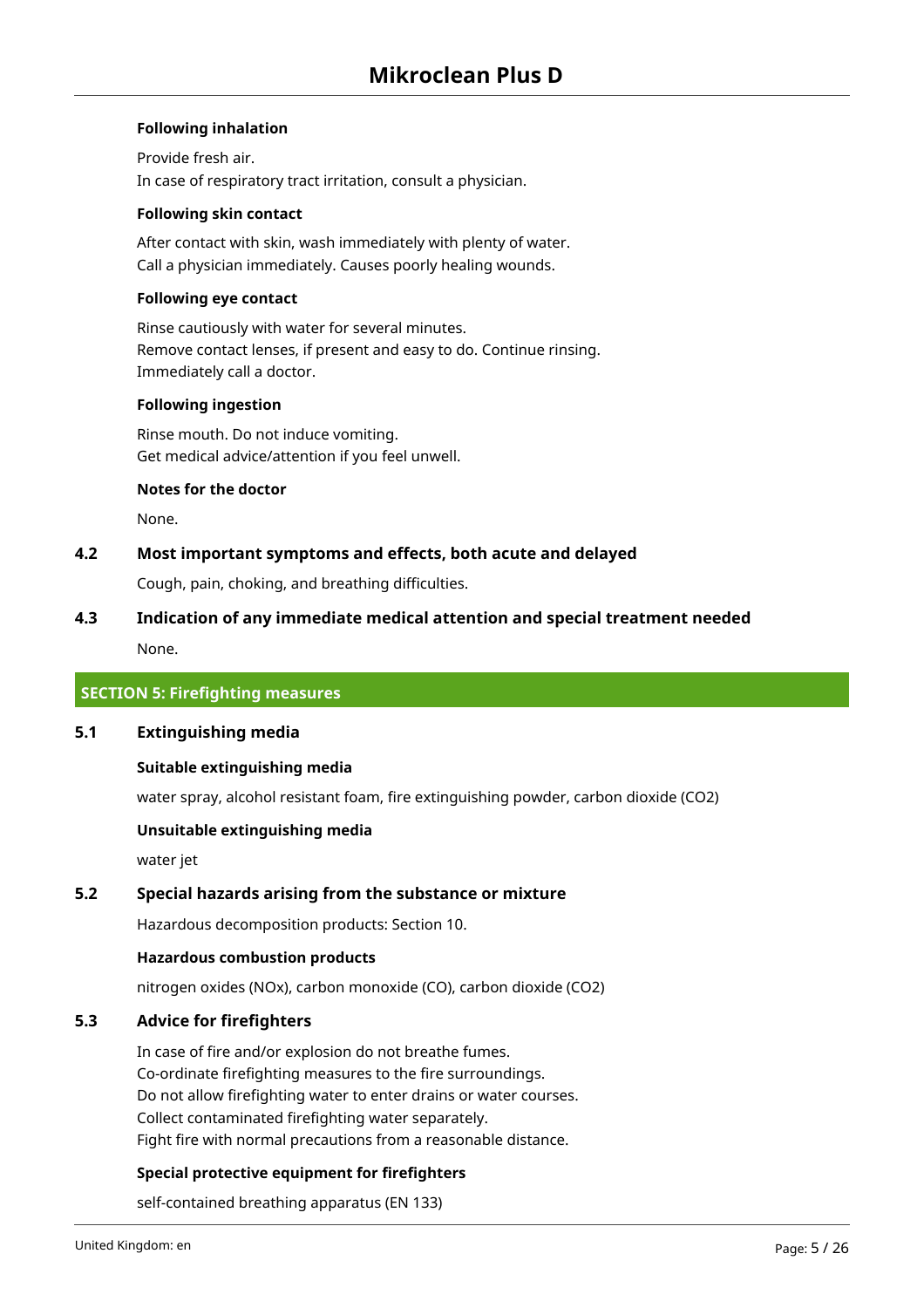## **Following inhalation**

Provide fresh air. In case of respiratory tract irritation, consult a physician.

#### **Following skin contact**

After contact with skin, wash immediately with plenty of water. Call a physician immediately. Causes poorly healing wounds.

## **Following eye contact**

Rinse cautiously with water for several minutes. Remove contact lenses, if present and easy to do. Continue rinsing. Immediately call a doctor.

#### **Following ingestion**

Rinse mouth. Do not induce vomiting. Get medical advice/attention if you feel unwell.

## **Notes for the doctor**

None.

## **4.2 Most important symptoms and effects, both acute and delayed**

Cough, pain, choking, and breathing difficulties.

# **4.3 Indication of any immediate medical attention and special treatment needed**

None.

## **SECTION 5: Firefighting measures**

## **5.1 Extinguishing media**

## **Suitable extinguishing media**

water spray, alcohol resistant foam, fire extinguishing powder, carbon dioxide (CO2)

## **Unsuitable extinguishing media**

water jet

## **5.2 Special hazards arising from the substance or mixture**

Hazardous decomposition products: Section 10.

## **Hazardous combustion products**

nitrogen oxides (NOx), carbon monoxide (CO), carbon dioxide (CO2)

## **5.3 Advice for firefighters**

In case of fire and/or explosion do not breathe fumes. Co-ordinate firefighting measures to the fire surroundings. Do not allow firefighting water to enter drains or water courses. Collect contaminated firefighting water separately. Fight fire with normal precautions from a reasonable distance.

## **Special protective equipment for firefighters**

self-contained breathing apparatus (EN 133)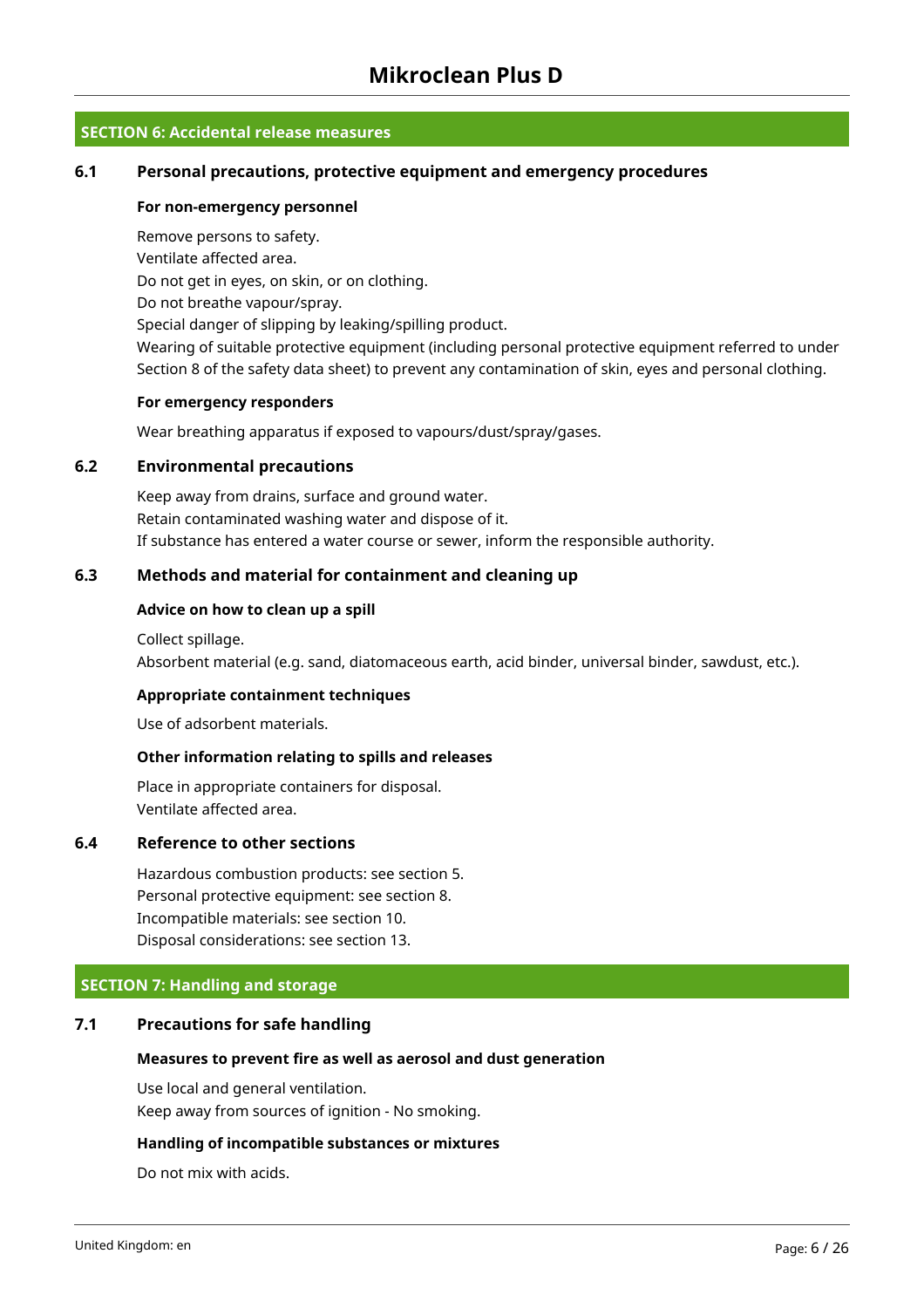## **SECTION 6: Accidental release measures**

## **6.1 Personal precautions, protective equipment and emergency procedures**

#### **For non-emergency personnel**

Remove persons to safety. Ventilate affected area. Do not get in eyes, on skin, or on clothing. Do not breathe vapour/spray. Special danger of slipping by leaking/spilling product.

Wearing of suitable protective equipment (including personal protective equipment referred to under Section 8 of the safety data sheet) to prevent any contamination of skin, eyes and personal clothing.

## **For emergency responders**

Wear breathing apparatus if exposed to vapours/dust/spray/gases.

## **6.2 Environmental precautions**

Keep away from drains, surface and ground water. Retain contaminated washing water and dispose of it. If substance has entered a water course or sewer, inform the responsible authority.

## **6.3 Methods and material for containment and cleaning up**

#### **Advice on how to clean up a spill**

Collect spillage. Absorbent material (e.g. sand, diatomaceous earth, acid binder, universal binder, sawdust, etc.).

## **Appropriate containment techniques**

Use of adsorbent materials.

## **Other information relating to spills and releases**

Place in appropriate containers for disposal. Ventilate affected area.

## **6.4 Reference to other sections**

Hazardous combustion products: see section 5. Personal protective equipment: see section 8. Incompatible materials: see section 10. Disposal considerations: see section 13.

## **SECTION 7: Handling and storage**

## **7.1 Precautions for safe handling**

#### **Measures to prevent fire as well as aerosol and dust generation**

Use local and general ventilation. Keep away from sources of ignition - No smoking.

#### **Handling of incompatible substances or mixtures**

Do not mix with acids.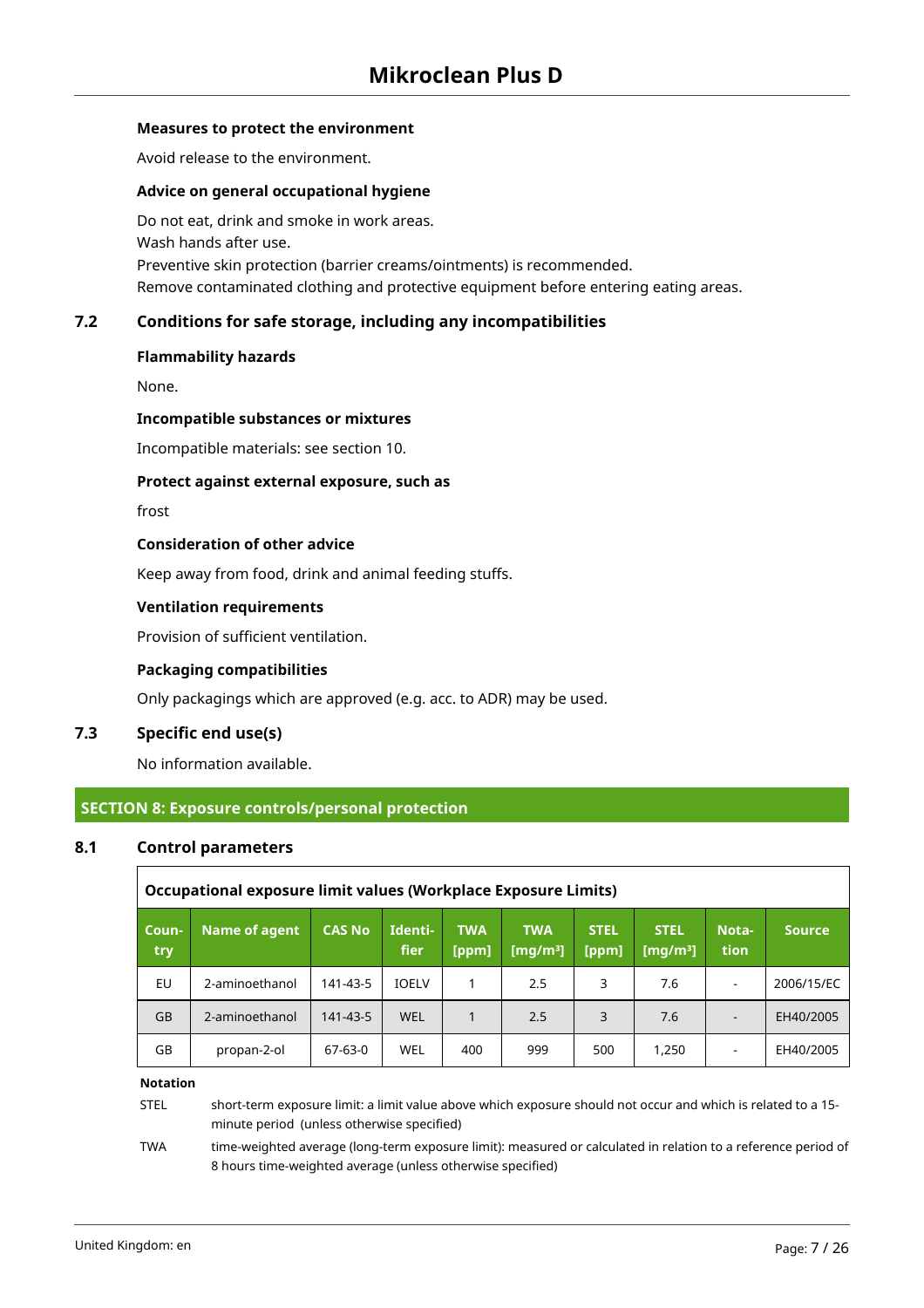## **Measures to protect the environment**

Avoid release to the environment.

#### **Advice on general occupational hygiene**

Do not eat, drink and smoke in work areas. Wash hands after use. Preventive skin protection (barrier creams/ointments) is recommended. Remove contaminated clothing and protective equipment before entering eating areas.

## **7.2 Conditions for safe storage, including any incompatibilities**

## **Flammability hazards**

None.

#### **Incompatible substances or mixtures**

Incompatible materials: see section 10.

#### **Protect against external exposure, such as**

frost

## **Consideration of other advice**

Keep away from food, drink and animal feeding stuffs.

## **Ventilation requirements**

Provision of sufficient ventilation.

## **Packaging compatibilities**

Only packagings which are approved (e.g. acc. to ADR) may be used.

## **7.3 Specific end use(s)**

No information available.

## **SECTION 8: Exposure controls/personal protection**

#### **8.1 Control parameters**

|              | Occupational exposure limit values (Workplace Exposure Limits) |               |                 |                     |                           |                      |                            |                          |               |
|--------------|----------------------------------------------------------------|---------------|-----------------|---------------------|---------------------------|----------------------|----------------------------|--------------------------|---------------|
| Coun-<br>try | Name of agent                                                  | <b>CAS No</b> | Identi-<br>fier | <b>TWA</b><br>[ppm] | <b>TWA</b><br>[mg/m $3$ ] | <b>STEL</b><br>[ppm] | <b>STEL</b><br>[mg/m $3$ ] | Nota-<br>tion            | <b>Source</b> |
| EU           | 2-aminoethanol                                                 | 141-43-5      | <b>IOELV</b>    | 1                   | 2.5                       | 3                    | 7.6                        | ۰                        | 2006/15/EC    |
| <b>GB</b>    | 2-aminoethanol                                                 | 141-43-5      | <b>WEL</b>      | $\mathbf{1}$        | 2.5                       | 3                    | 7.6                        | $\overline{\phantom{a}}$ | EH40/2005     |
| GB           | propan-2-ol                                                    | 67-63-0       | WEL             | 400                 | 999                       | 500                  | 1,250                      |                          | EH40/2005     |

#### **Notation**

STEL short-term exposure limit: a limit value above which exposure should not occur and which is related to a 15 minute period (unless otherwise specified)

TWA time-weighted average (long-term exposure limit): measured or calculated in relation to a reference period of 8 hours time-weighted average (unless otherwise specified)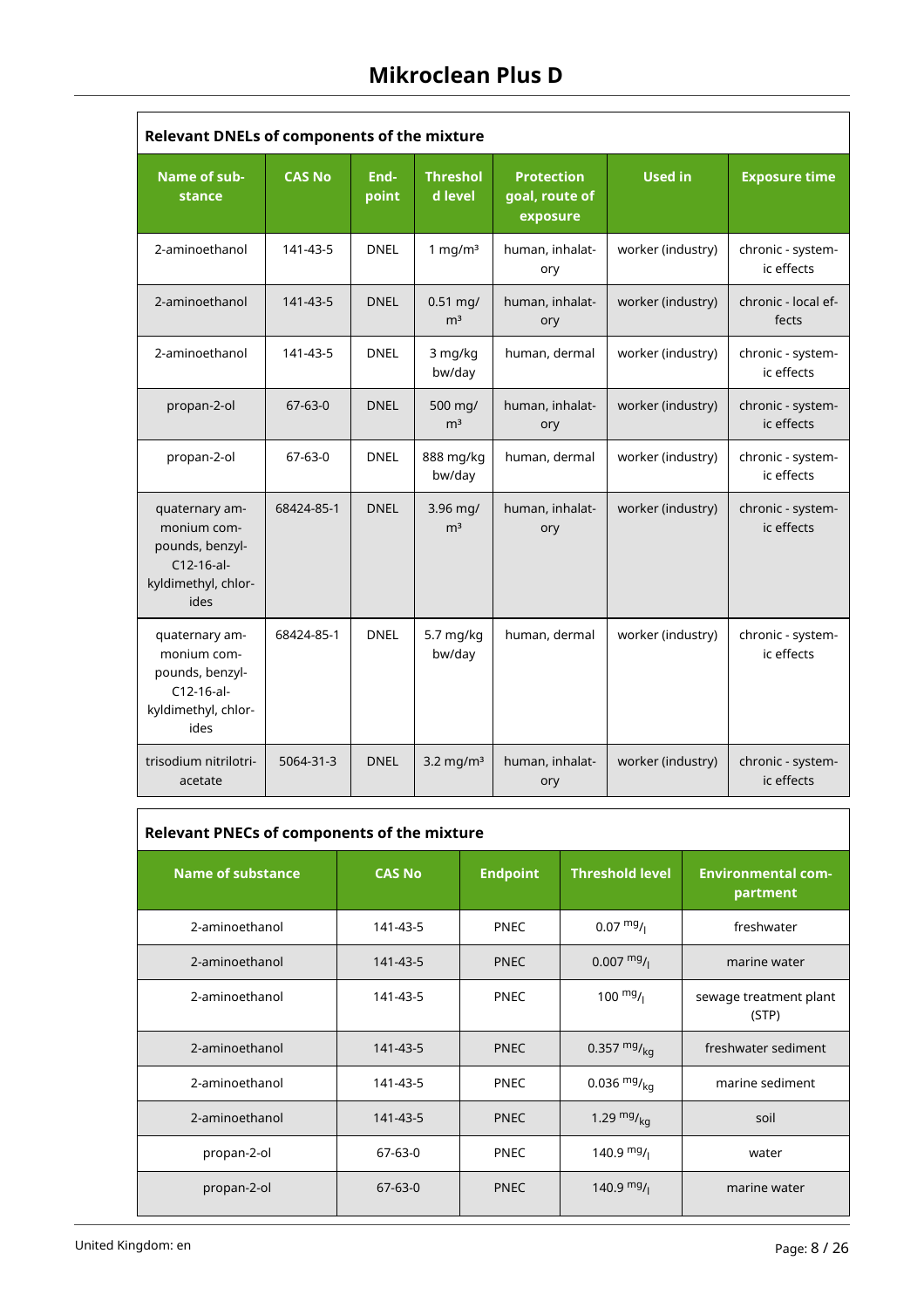| <b>Relevant DNELs of components of the mixture</b>                                              |               |               |                              |                                                 |                   |                                 |  |  |  |
|-------------------------------------------------------------------------------------------------|---------------|---------------|------------------------------|-------------------------------------------------|-------------------|---------------------------------|--|--|--|
| Name of sub-<br>stance                                                                          | <b>CAS No</b> | End-<br>point | <b>Threshol</b><br>d level   | <b>Protection</b><br>goal, route of<br>exposure | <b>Used in</b>    | <b>Exposure time</b>            |  |  |  |
| 2-aminoethanol                                                                                  | 141-43-5      | <b>DNEL</b>   | 1 mg/ $m3$                   | human, inhalat-<br>ory                          | worker (industry) | chronic - system-<br>ic effects |  |  |  |
| 2-aminoethanol                                                                                  | 141-43-5      | <b>DNEL</b>   | $0.51$ mg/<br>m <sup>3</sup> | human, inhalat-<br>ory                          | worker (industry) | chronic - local ef-<br>fects    |  |  |  |
| 2-aminoethanol                                                                                  | 141-43-5      | <b>DNEL</b>   | 3 mg/kg<br>bw/day            | human, dermal                                   | worker (industry) | chronic - system-<br>ic effects |  |  |  |
| propan-2-ol                                                                                     | $67 - 63 - 0$ | <b>DNEL</b>   | 500 mg/<br>m <sup>3</sup>    | human, inhalat-<br>ory                          | worker (industry) | chronic - system-<br>ic effects |  |  |  |
| propan-2-ol                                                                                     | 67-63-0       | <b>DNEL</b>   | 888 mg/kg<br>bw/day          | human, dermal                                   | worker (industry) | chronic - system-<br>ic effects |  |  |  |
| quaternary am-<br>monium com-<br>pounds, benzyl-<br>$C12-16-al-$<br>kyldimethyl, chlor-<br>ides | 68424-85-1    | <b>DNEL</b>   | $3.96$ mg/<br>m <sup>3</sup> | human, inhalat-<br>ory                          | worker (industry) | chronic - system-<br>ic effects |  |  |  |
| quaternary am-<br>monium com-<br>pounds, benzyl-<br>$C12-16-al-$<br>kyldimethyl, chlor-<br>ides | 68424-85-1    | DNEL          | 5.7 mg/kg<br>bw/day          | human, dermal                                   | worker (industry) | chronic - system-<br>ic effects |  |  |  |
| trisodium nitrilotri-<br>acetate                                                                | 5064-31-3     | <b>DNEL</b>   | 3.2 mg/m <sup>3</sup>        | human, inhalat-<br>ory                          | worker (industry) | chronic - system-<br>ic effects |  |  |  |

| <b>Relevant PNECs of components of the mixture</b> |               |                 |                        |                                       |  |  |  |  |  |  |  |
|----------------------------------------------------|---------------|-----------------|------------------------|---------------------------------------|--|--|--|--|--|--|--|
| <b>Name of substance</b>                           | <b>CAS No</b> | <b>Endpoint</b> | <b>Threshold level</b> | <b>Environmental com-</b><br>partment |  |  |  |  |  |  |  |
| 2-aminoethanol                                     | 141-43-5      | <b>PNEC</b>     | $0.07 \frac{mg}{l}$    | freshwater                            |  |  |  |  |  |  |  |
| 2-aminoethanol                                     | 141-43-5      | <b>PNEC</b>     | $0.007 \frac{mg}{l}$   | marine water                          |  |  |  |  |  |  |  |
| 2-aminoethanol                                     | 141-43-5      | <b>PNEC</b>     | $100 \frac{mg}{l}$     | sewage treatment plant<br>(STP)       |  |  |  |  |  |  |  |
| 2-aminoethanol                                     | 141-43-5      | <b>PNEC</b>     | 0.357 $mg/_{ka}$       | freshwater sediment                   |  |  |  |  |  |  |  |
| 2-aminoethanol                                     | 141-43-5      | <b>PNEC</b>     | 0.036 $mg/_{ka}$       | marine sediment                       |  |  |  |  |  |  |  |
| 2-aminoethanol                                     | 141-43-5      | <b>PNEC</b>     | 1.29 $mgr_{ka}$        | soil                                  |  |  |  |  |  |  |  |
| propan-2-ol                                        | 67-63-0       | <b>PNEC</b>     | 140.9 $mg/$            | water                                 |  |  |  |  |  |  |  |
| propan-2-ol                                        | $67-63-0$     | <b>PNEC</b>     | 140.9 $mg/$            | marine water                          |  |  |  |  |  |  |  |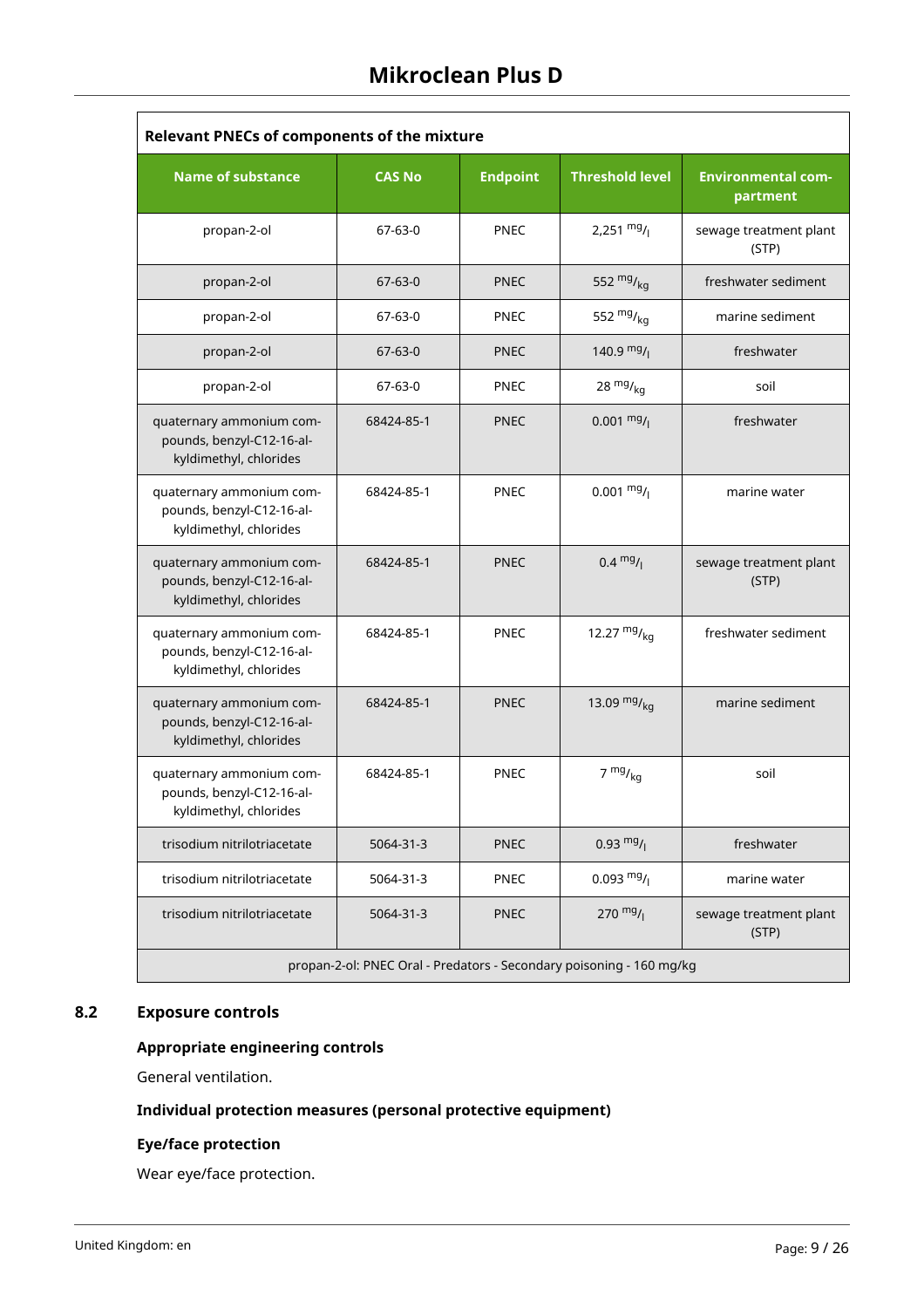| <b>Relevant PNECs of components of the mixture</b>                              |               |                 |                                                                      |                                       |  |  |  |  |  |  |
|---------------------------------------------------------------------------------|---------------|-----------------|----------------------------------------------------------------------|---------------------------------------|--|--|--|--|--|--|
| <b>Name of substance</b>                                                        | <b>CAS No</b> | <b>Endpoint</b> | <b>Threshold level</b>                                               | <b>Environmental com-</b><br>partment |  |  |  |  |  |  |
| propan-2-ol                                                                     | 67-63-0       | <b>PNEC</b>     | 2,251 $mg/$                                                          | sewage treatment plant<br>(STP)       |  |  |  |  |  |  |
| propan-2-ol                                                                     | $67 - 63 - 0$ | <b>PNEC</b>     | 552 $mg/kq$                                                          | freshwater sediment                   |  |  |  |  |  |  |
| propan-2-ol                                                                     | 67-63-0       | <b>PNEC</b>     | 552 $mg/kq$                                                          | marine sediment                       |  |  |  |  |  |  |
| propan-2-ol                                                                     | $67 - 63 - 0$ | <b>PNEC</b>     | 140.9 $mg/$                                                          | freshwater                            |  |  |  |  |  |  |
| propan-2-ol                                                                     | 67-63-0       | <b>PNEC</b>     | 28 $mg/kq$                                                           | soil                                  |  |  |  |  |  |  |
| quaternary ammonium com-<br>pounds, benzyl-C12-16-al-<br>kyldimethyl, chlorides | 68424-85-1    | <b>PNEC</b>     | $0.001 \frac{mg}{l}$                                                 | freshwater                            |  |  |  |  |  |  |
| quaternary ammonium com-<br>pounds, benzyl-C12-16-al-<br>kyldimethyl, chlorides | 68424-85-1    | <b>PNEC</b>     | $0.001 \frac{mg}{l}$                                                 | marine water                          |  |  |  |  |  |  |
| quaternary ammonium com-<br>pounds, benzyl-C12-16-al-<br>kyldimethyl, chlorides | 68424-85-1    | <b>PNEC</b>     | $0.4 \frac{mg}{l}$                                                   | sewage treatment plant<br>(STP)       |  |  |  |  |  |  |
| quaternary ammonium com-<br>pounds, benzyl-C12-16-al-<br>kyldimethyl, chlorides | 68424-85-1    | <b>PNEC</b>     | 12.27 $mg/kq$                                                        | freshwater sediment                   |  |  |  |  |  |  |
| quaternary ammonium com-<br>pounds, benzyl-C12-16-al-<br>kyldimethyl, chlorides | 68424-85-1    | <b>PNEC</b>     | 13.09 $mg/kg$                                                        | marine sediment                       |  |  |  |  |  |  |
| quaternary ammonium com-<br>pounds, benzyl-C12-16-al-<br>kyldimethyl, chlorides | 68424-85-1    | <b>PNEC</b>     | $7 \frac{mg}{kg}$                                                    | soil                                  |  |  |  |  |  |  |
| trisodium nitrilotriacetate                                                     | 5064-31-3     | <b>PNEC</b>     | $0.93 \frac{mg}{l}$                                                  | freshwater                            |  |  |  |  |  |  |
| trisodium nitrilotriacetate                                                     | 5064-31-3     | <b>PNEC</b>     | $0.093 \frac{mg}{l}$                                                 | marine water                          |  |  |  |  |  |  |
| trisodium nitrilotriacetate                                                     | 5064-31-3     | <b>PNEC</b>     | $270$ mg/                                                            | sewage treatment plant<br>(STP)       |  |  |  |  |  |  |
|                                                                                 |               |                 | propan-2-ol: PNEC Oral - Predators - Secondary poisoning - 160 mg/kg |                                       |  |  |  |  |  |  |

## **8.2 Exposure controls**

## **Appropriate engineering controls**

General ventilation.

## **Individual protection measures (personal protective equipment)**

## **Eye/face protection**

Wear eye/face protection.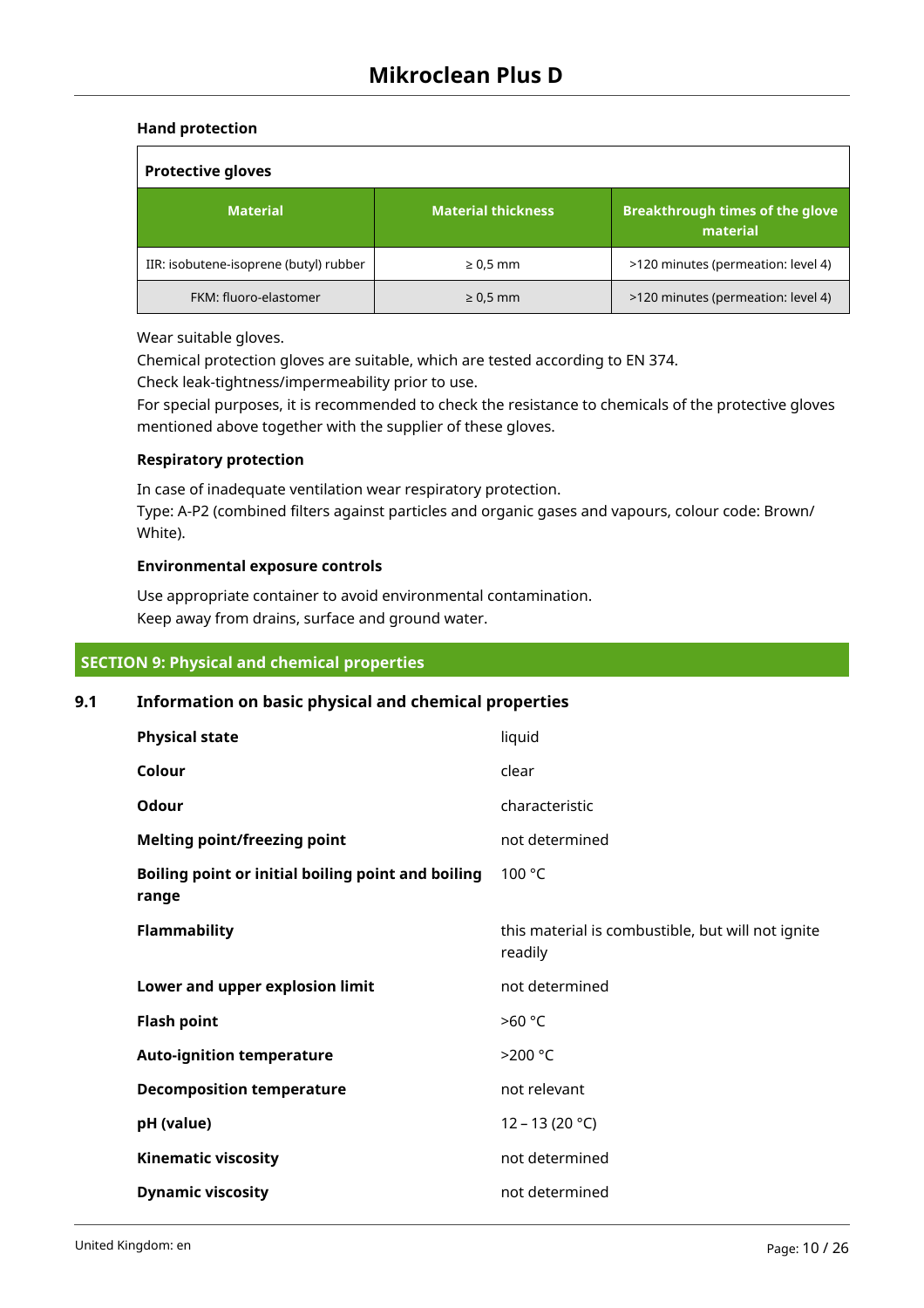## **Hand protection**

| <b>Protective gloves</b>               |                           |                                                    |  |  |  |  |  |  |
|----------------------------------------|---------------------------|----------------------------------------------------|--|--|--|--|--|--|
| <b>Material</b>                        | <b>Material thickness</b> | <b>Breakthrough times of the glove</b><br>material |  |  |  |  |  |  |
| IIR: isobutene-isoprene (butyl) rubber | $\geq 0.5$ mm             | >120 minutes (permeation: level 4)                 |  |  |  |  |  |  |
| FKM: fluoro-elastomer                  | $\geq 0.5$ mm             | >120 minutes (permeation: level 4)                 |  |  |  |  |  |  |

Wear suitable gloves.

Chemical protection gloves are suitable, which are tested according to EN 374.

Check leak-tightness/impermeability prior to use.

For special purposes, it is recommended to check the resistance to chemicals of the protective gloves mentioned above together with the supplier of these gloves.

## **Respiratory protection**

In case of inadequate ventilation wear respiratory protection. Type: A-P2 (combined filters against particles and organic gases and vapours, colour code: Brown/ White).

#### **Environmental exposure controls**

Use appropriate container to avoid environmental contamination. Keep away from drains, surface and ground water.

## **SECTION 9: Physical and chemical properties**

## **9.1 Information on basic physical and chemical properties**

| <b>Physical state</b>                                       | liquid                                                       |
|-------------------------------------------------------------|--------------------------------------------------------------|
| Colour                                                      | clear                                                        |
| Odour                                                       | characteristic                                               |
| <b>Melting point/freezing point</b>                         | not determined                                               |
| Boiling point or initial boiling point and boiling<br>range | 100 °C                                                       |
| <b>Flammability</b>                                         | this material is combustible, but will not ignite<br>readily |
| Lower and upper explosion limit                             | not determined                                               |
| <b>Flash point</b>                                          | >60 °C                                                       |
| <b>Auto-ignition temperature</b>                            | >200 °C                                                      |
| <b>Decomposition temperature</b>                            | not relevant                                                 |
| pH (value)                                                  | $12 - 13(20 °C)$                                             |
| <b>Kinematic viscosity</b>                                  | not determined                                               |
| <b>Dynamic viscosity</b>                                    | not determined                                               |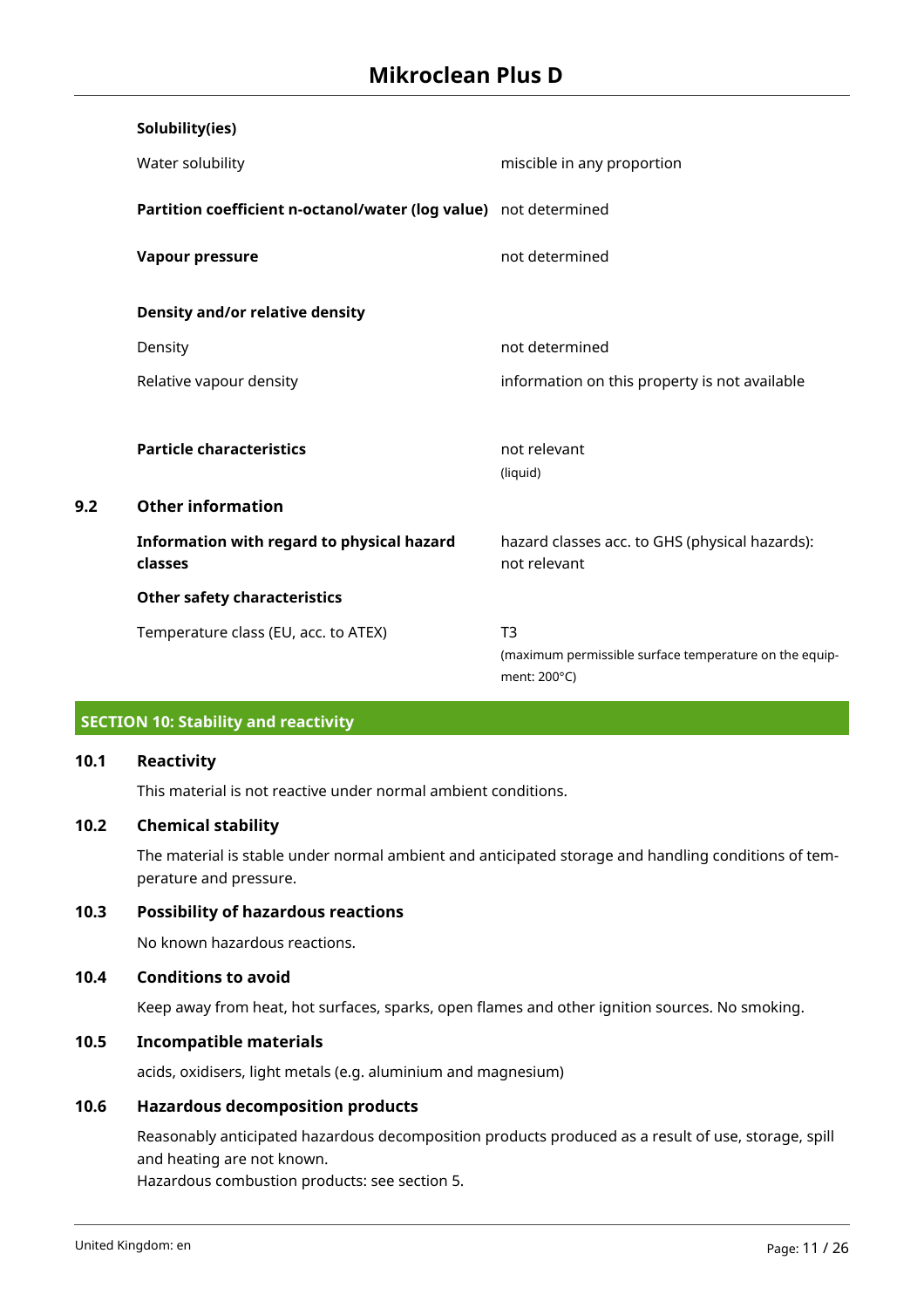|     | Solubility(ies)                                                  |                                                                        |
|-----|------------------------------------------------------------------|------------------------------------------------------------------------|
|     | Water solubility                                                 | miscible in any proportion                                             |
|     | Partition coefficient n-octanol/water (log value) not determined |                                                                        |
|     | <b>Vapour pressure</b>                                           | not determined                                                         |
|     | Density and/or relative density                                  |                                                                        |
|     | Density                                                          | not determined                                                         |
|     | Relative vapour density                                          | information on this property is not available                          |
|     |                                                                  |                                                                        |
|     | <b>Particle characteristics</b>                                  | not relevant                                                           |
|     |                                                                  | (liquid)                                                               |
| 9.2 | <b>Other information</b>                                         |                                                                        |
|     | Information with regard to physical hazard<br>classes            | hazard classes acc. to GHS (physical hazards):<br>not relevant         |
|     | <b>Other safety characteristics</b>                              |                                                                        |
|     | Temperature class (EU, acc. to ATEX)                             | T <sub>3</sub>                                                         |
|     |                                                                  | (maximum permissible surface temperature on the equip-<br>ment: 200°C) |

## **SECTION 10: Stability and reactivity**

## **10.1 Reactivity**

This material is not reactive under normal ambient conditions.

## **10.2 Chemical stability**

The material is stable under normal ambient and anticipated storage and handling conditions of temperature and pressure.

## **10.3 Possibility of hazardous reactions**

No known hazardous reactions.

## **10.4 Conditions to avoid**

Keep away from heat, hot surfaces, sparks, open flames and other ignition sources. No smoking.

## **10.5 Incompatible materials**

acids, oxidisers, light metals (e.g. aluminium and magnesium)

## **10.6 Hazardous decomposition products**

Reasonably anticipated hazardous decomposition products produced as a result of use, storage, spill and heating are not known.

Hazardous combustion products: see section 5.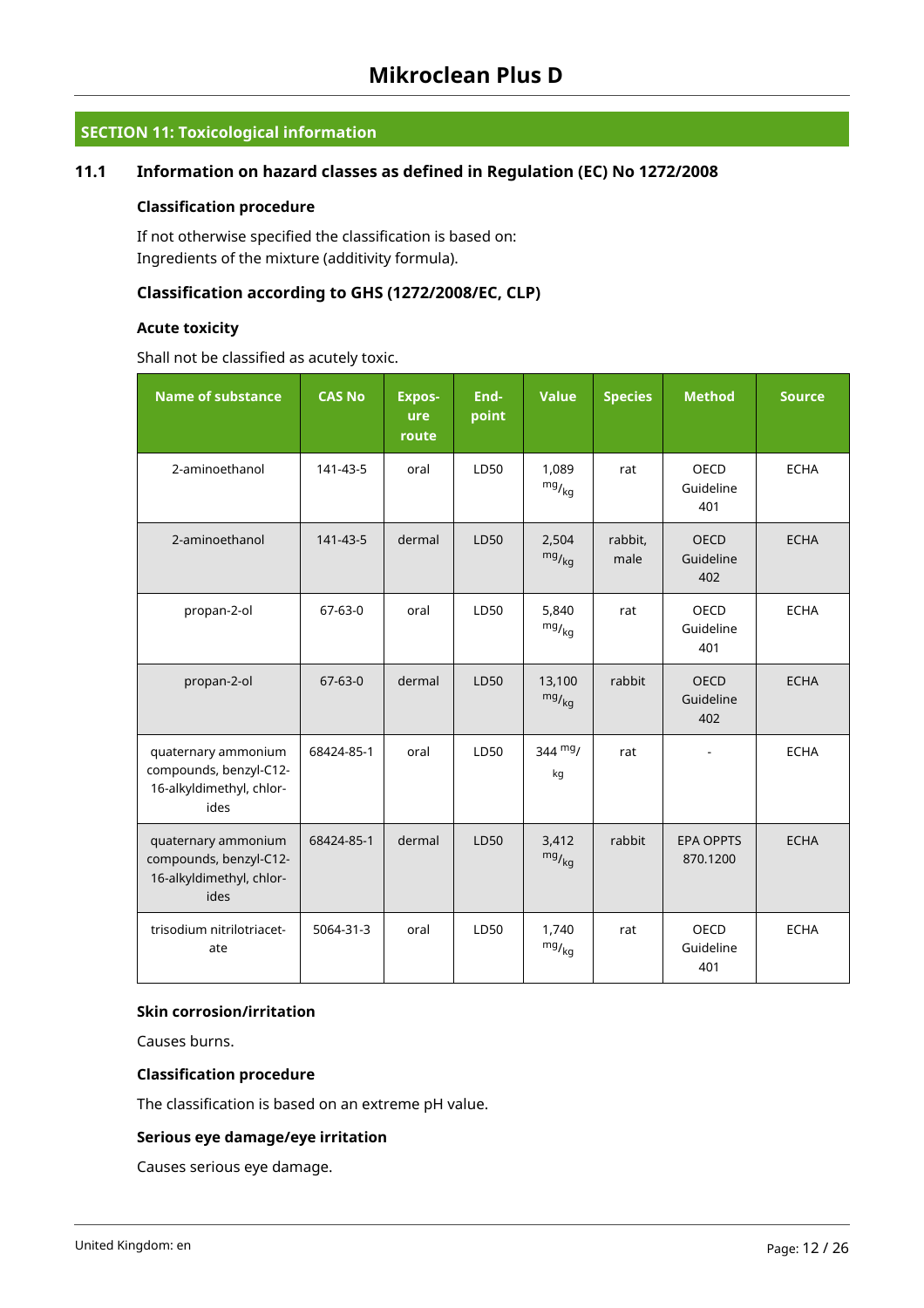## **SECTION 11: Toxicological information**

## **11.1 Information on hazard classes as defined in Regulation (EC) No 1272/2008**

#### **Classification procedure**

If not otherwise specified the classification is based on: Ingredients of the mixture (additivity formula).

## **Classification according to GHS (1272/2008/EC, CLP)**

## **Acute toxicity**

Shall not be classified as acutely toxic.

| <b>Name of substance</b>                                                          | <b>CAS No</b> | <b>Expos-</b><br>ure<br>route | End-<br>point | <b>Value</b>            | <b>Species</b>  | <b>Method</b>                   | <b>Source</b> |
|-----------------------------------------------------------------------------------|---------------|-------------------------------|---------------|-------------------------|-----------------|---------------------------------|---------------|
| 2-aminoethanol                                                                    | 141-43-5      | oral                          | LD50          | 1,089<br>$mg/_{kg}$     | rat             | <b>OECD</b><br>Guideline<br>401 | <b>ECHA</b>   |
| 2-aminoethanol                                                                    | 141-43-5      | dermal                        | LD50          | 2,504<br>$mg/_{kg}$     | rabbit,<br>male | <b>OECD</b><br>Guideline<br>402 | <b>ECHA</b>   |
| propan-2-ol                                                                       | $67 - 63 - 0$ | oral                          | LD50          | 5,840<br>$mg/_{\rm kg}$ | rat             | OECD<br>Guideline<br>401        | <b>ECHA</b>   |
| propan-2-ol                                                                       | $67 - 63 - 0$ | dermal                        | LD50          | 13,100<br>$mg/_{kg}$    | rabbit          | <b>OECD</b><br>Guideline<br>402 | <b>ECHA</b>   |
| quaternary ammonium<br>compounds, benzyl-C12-<br>16-alkyldimethyl, chlor-<br>ides | 68424-85-1    | oral                          | LD50          | $344 \text{ mg}$<br>kg  | rat             |                                 | <b>ECHA</b>   |
| quaternary ammonium<br>compounds, benzyl-C12-<br>16-alkyldimethyl, chlor-<br>ides | 68424-85-1    | dermal                        | LD50          | 3,412<br>$mg/_{kg}$     | rabbit          | <b>EPA OPPTS</b><br>870.1200    | <b>ECHA</b>   |
| trisodium nitrilotriacet-<br>ate                                                  | 5064-31-3     | oral                          | LD50          | 1,740<br>$mg/_{\rm kg}$ | rat             | <b>OECD</b><br>Guideline<br>401 | <b>ECHA</b>   |

## **Skin corrosion/irritation**

Causes burns.

## **Classification procedure**

The classification is based on an extreme pH value.

## **Serious eye damage/eye irritation**

Causes serious eye damage.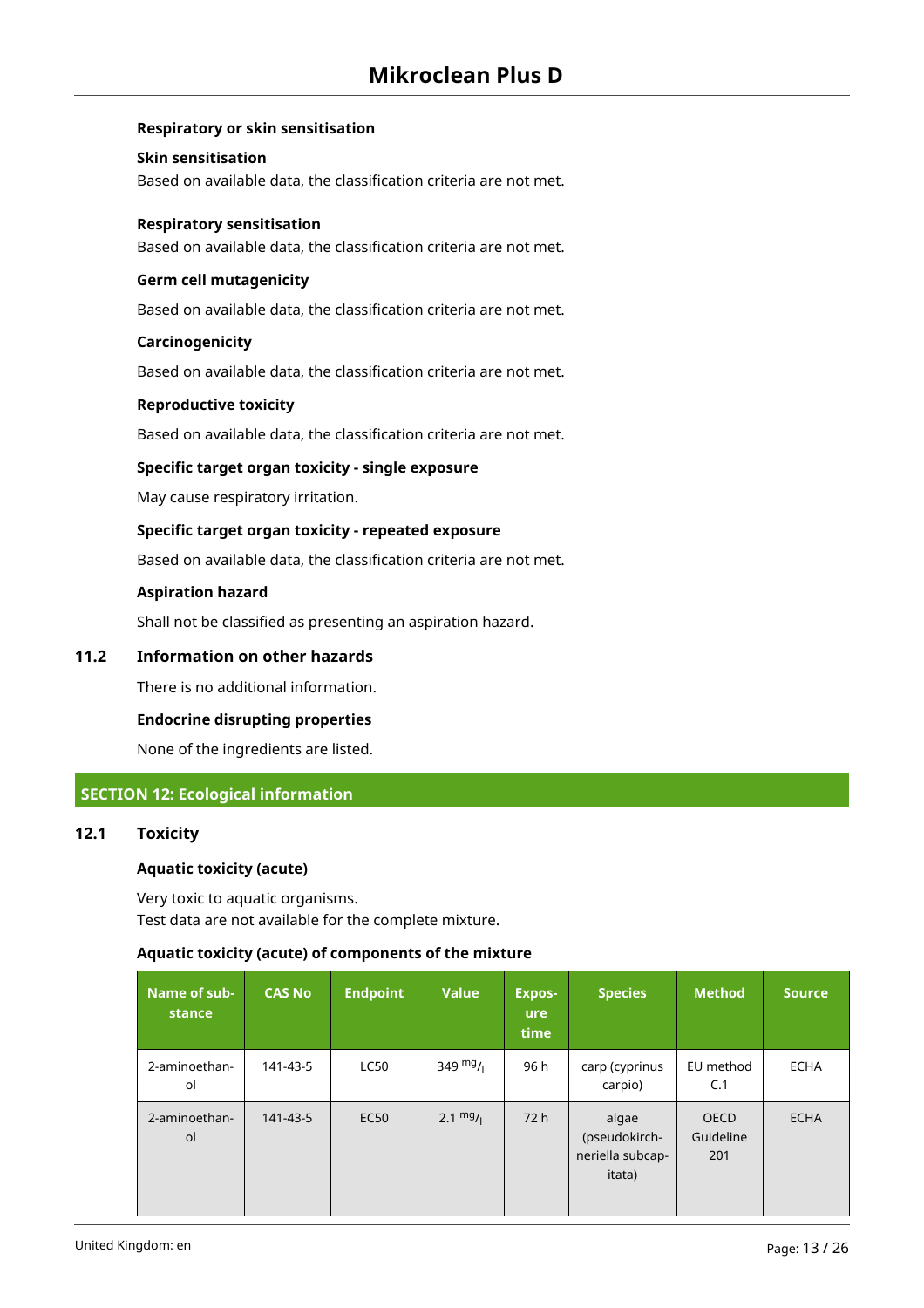## **Respiratory or skin sensitisation**

#### **Skin sensitisation**

Based on available data, the classification criteria are not met.

#### **Respiratory sensitisation**

Based on available data, the classification criteria are not met.

## **Germ cell mutagenicity**

Based on available data, the classification criteria are not met.

#### **Carcinogenicity**

Based on available data, the classification criteria are not met.

#### **Reproductive toxicity**

Based on available data, the classification criteria are not met.

## **Specific target organ toxicity - single exposure**

May cause respiratory irritation.

#### **Specific target organ toxicity - repeated exposure**

Based on available data, the classification criteria are not met.

#### **Aspiration hazard**

Shall not be classified as presenting an aspiration hazard.

## **11.2 Information on other hazards**

There is no additional information.

#### **Endocrine disrupting properties**

None of the ingredients are listed.

## **SECTION 12: Ecological information**

## **12.1 Toxicity**

#### **Aquatic toxicity (acute)**

Very toxic to aquatic organisms. Test data are not available for the complete mixture.

## **Aquatic toxicity (acute) of components of the mixture**

| Name of sub-<br>stance | <b>CAS No</b> | <b>Endpoint</b> | <b>Value</b> | <b>Expos-</b><br><b>ure</b><br>time | <b>Species</b>                                       | <b>Method</b>                   | <b>Source</b> |
|------------------------|---------------|-----------------|--------------|-------------------------------------|------------------------------------------------------|---------------------------------|---------------|
| 2-aminoethan-<br>ol    | 141-43-5      | <b>LC50</b>     | 349 $mg/1$   | 96 h                                | carp (cyprinus<br>carpio)                            | EU method<br>C.1                | <b>ECHA</b>   |
| 2-aminoethan-<br>ol    | 141-43-5      | <b>EC50</b>     | 2.1 $mg/1$   | 72 h                                | algae<br>(pseudokirch-<br>neriella subcap-<br>itata) | <b>OECD</b><br>Guideline<br>201 | <b>ECHA</b>   |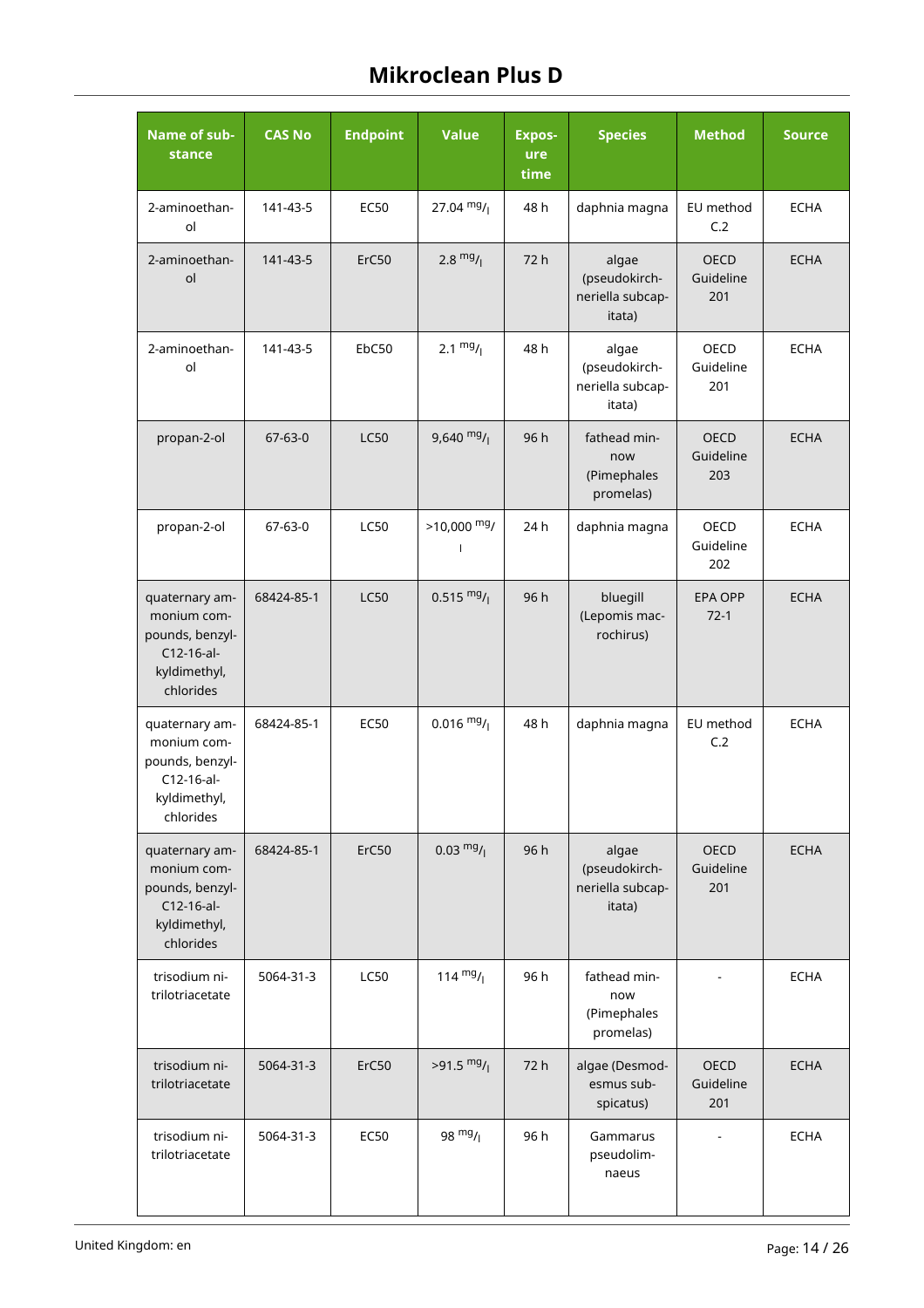| Name of sub-<br>stance                                                                      | <b>CAS No</b> | <b>Endpoint</b> | <b>Value</b>         | <b>Expos-</b><br>ure<br>time | <b>Species</b>                                       | <b>Method</b>                   | <b>Source</b> |
|---------------------------------------------------------------------------------------------|---------------|-----------------|----------------------|------------------------------|------------------------------------------------------|---------------------------------|---------------|
| 2-aminoethan-<br>ol                                                                         | 141-43-5      | <b>EC50</b>     | 27.04 $mg/$          | 48 h                         | daphnia magna                                        | EU method<br>C.2                | <b>ECHA</b>   |
| 2-aminoethan-<br>ol                                                                         | 141-43-5      | ErC50           | 2.8 $mg/1$           | 72 h                         | algae<br>(pseudokirch-<br>neriella subcap-<br>itata) | <b>OECD</b><br>Guideline<br>201 | <b>ECHA</b>   |
| 2-aminoethan-<br>ol                                                                         | 141-43-5      | EbC50           | 2.1 $mg/1$           | 48 h                         | algae<br>(pseudokirch-<br>neriella subcap-<br>itata) | OECD<br>Guideline<br>201        | <b>ECHA</b>   |
| propan-2-ol                                                                                 | $67 - 63 - 0$ | <b>LC50</b>     | $9,640$ mg/          | 96 h                         | fathead min-<br>now<br>(Pimephales<br>promelas)      | <b>OECD</b><br>Guideline<br>203 | <b>ECHA</b>   |
| propan-2-ol                                                                                 | 67-63-0       | <b>LC50</b>     | $>10,000$ mg/        | 24 h                         | daphnia magna                                        | <b>OECD</b><br>Guideline<br>202 | <b>ECHA</b>   |
| quaternary am-<br>monium com-<br>pounds, benzyl-<br>C12-16-al-<br>kyldimethyl,<br>chlorides | 68424-85-1    | <b>LC50</b>     | $0.515 \frac{mg}{l}$ | 96 h                         | bluegill<br>(Lepomis mac-<br>rochirus)               | <b>EPA OPP</b><br>$72-1$        | <b>ECHA</b>   |
| quaternary am-<br>monium com-<br>pounds, benzyl-<br>C12-16-al-<br>kyldimethyl,<br>chlorides | 68424-85-1    | <b>EC50</b>     | $0.016 \frac{mg}{l}$ | 48 h                         | daphnia magna                                        | EU method<br>C.2                | <b>ECHA</b>   |
| quaternary am-<br>monium com-<br>pounds, benzyl-<br>C12-16-al-<br>kyldimethyl,<br>chlorides | 68424-85-1    | ErC50           | $0.03 \frac{mg}{l}$  | 96 h                         | algae<br>(pseudokirch-<br>neriella subcap-<br>itata) | <b>OECD</b><br>Guideline<br>201 | <b>ECHA</b>   |
| trisodium ni-<br>trilotriacetate                                                            | 5064-31-3     | <b>LC50</b>     | 114 $mg/$            | 96 h                         | fathead min-<br>now<br>(Pimephales<br>promelas)      |                                 | <b>ECHA</b>   |
| trisodium ni-<br>trilotriacetate                                                            | 5064-31-3     | ErC50           | $>91.5 \frac{mg}{l}$ | 72 h                         | algae (Desmod-<br>esmus sub-<br>spicatus)            | <b>OECD</b><br>Guideline<br>201 | <b>ECHA</b>   |
| trisodium ni-<br>trilotriacetate                                                            | 5064-31-3     | <b>EC50</b>     | 98 $mg/$             | 96 h                         | Gammarus<br>pseudolim-<br>naeus                      |                                 | <b>ECHA</b>   |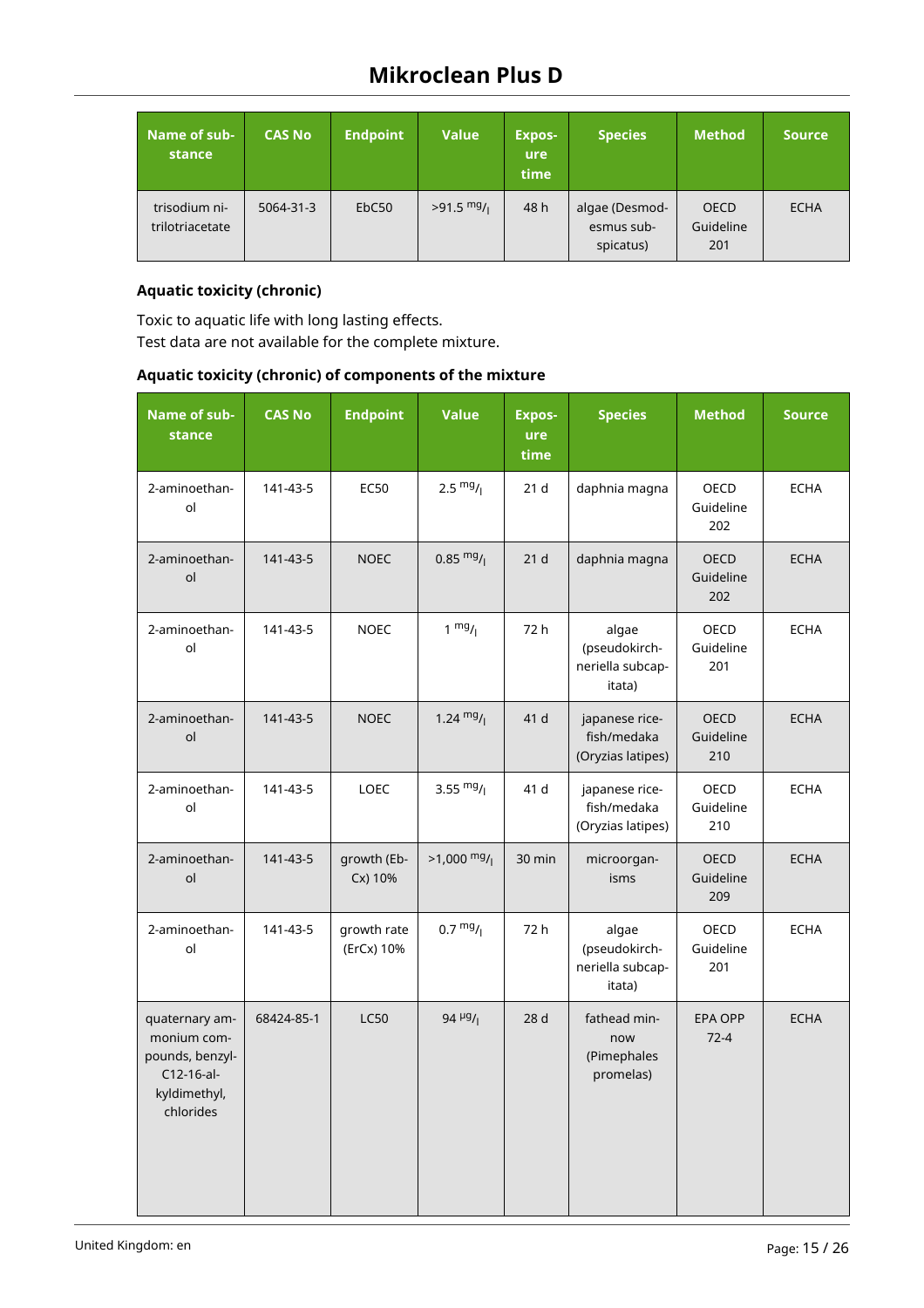| Name of sub-<br>stance           | <b>CAS No</b> | <b>Endpoint</b>   | <b>Value</b> | <b>Expos-</b><br><b>ure</b><br>time | <b>Species</b>                            | Method,                         | <b>Source</b> |
|----------------------------------|---------------|-------------------|--------------|-------------------------------------|-------------------------------------------|---------------------------------|---------------|
| trisodium ni-<br>trilotriacetate | 5064-31-3     | EbC <sub>50</sub> | $>91.5$ mg/  | 48 h                                | algae (Desmod-<br>esmus sub-<br>spicatus) | <b>OECD</b><br>Guideline<br>201 | <b>ECHA</b>   |

## **Aquatic toxicity (chronic)**

Toxic to aquatic life with long lasting effects. Test data are not available for the complete mixture.

## **Aquatic toxicity (chronic) of components of the mixture**

| Name of sub-<br>stance                                                                      | <b>CAS No</b> | <b>Endpoint</b>           | <b>Value</b>                         | <b>Expos-</b><br>ure<br>time | <b>Species</b>                                       | <b>Method</b>                   | <b>Source</b> |
|---------------------------------------------------------------------------------------------|---------------|---------------------------|--------------------------------------|------------------------------|------------------------------------------------------|---------------------------------|---------------|
| 2-aminoethan-<br>ol                                                                         | 141-43-5      | <b>EC50</b>               | $2.5 \frac{mg}{l}$                   | 21 <sub>d</sub>              | daphnia magna                                        | OECD<br>Guideline<br>202        | <b>ECHA</b>   |
| 2-aminoethan-<br>ol                                                                         | 141-43-5      | <b>NOEC</b>               | $0.85 \frac{mg}{l}$                  | 21 <sub>d</sub>              | daphnia magna                                        | <b>OECD</b><br>Guideline<br>202 | <b>ECHA</b>   |
| 2-aminoethan-<br>ol                                                                         | 141-43-5      | <b>NOEC</b>               | $1 \frac{mg}{l}$                     | 72 h                         | algae<br>(pseudokirch-<br>neriella subcap-<br>itata) | OECD<br>Guideline<br>201        | ECHA          |
| 2-aminoethan-<br>ol                                                                         | 141-43-5      | <b>NOEC</b>               | 1.24 $mg/$                           | 41 d                         | japanese rice-<br>fish/medaka<br>(Oryzias latipes)   | OECD<br>Guideline<br>210        | <b>ECHA</b>   |
| 2-aminoethan-<br>ol                                                                         | 141-43-5      | LOEC                      | 3.55 $mg/$                           | 41 d                         | japanese rice-<br>fish/medaka<br>(Oryzias latipes)   | OECD<br>Guideline<br>210        | <b>ECHA</b>   |
| 2-aminoethan-<br>ol                                                                         | 141-43-5      | growth (Eb-<br>Cx) 10%    | $>1,000 \frac{mg}{l}$                | 30 min                       | microorgan-<br>isms                                  | <b>OECD</b><br>Guideline<br>209 | <b>ECHA</b>   |
| 2-aminoethan-<br>ol                                                                         | 141-43-5      | growth rate<br>(ErCx) 10% | $0.7 \frac{mg}{l}$                   | 72 h                         | algae<br>(pseudokirch-<br>neriella subcap-<br>itata) | OECD<br>Guideline<br>201        | <b>ECHA</b>   |
| quaternary am-<br>monium com-<br>pounds, benzyl-<br>C12-16-al-<br>kyldimethyl,<br>chlorides | 68424-85-1    | <b>LC50</b>               | 94 $\mu$ <sup>9</sup> / <sub>1</sub> | 28 d                         | fathead min-<br>now<br>(Pimephales<br>promelas)      | <b>EPA OPP</b><br>$72 - 4$      | <b>ECHA</b>   |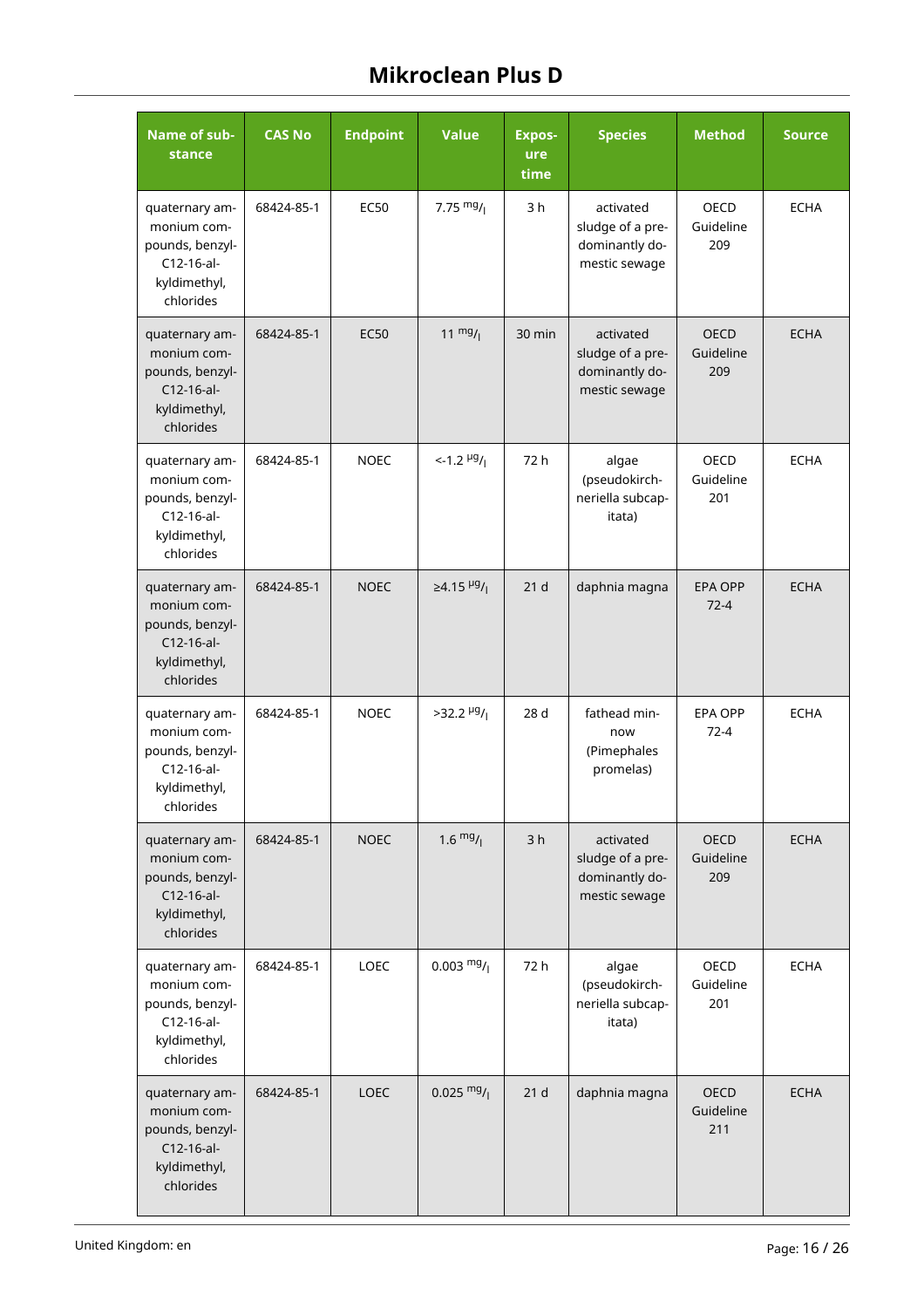| Name of sub-<br>stance                                                                        | <b>CAS No</b> | <b>Endpoint</b> | <b>Value</b>                         | <b>Expos-</b><br>ure<br>time | <b>Species</b>                                                   | <b>Method</b>                   | <b>Source</b> |
|-----------------------------------------------------------------------------------------------|---------------|-----------------|--------------------------------------|------------------------------|------------------------------------------------------------------|---------------------------------|---------------|
| quaternary am-<br>monium com-<br>pounds, benzyl-<br>C12-16-al-<br>kyldimethyl,<br>chlorides   | 68424-85-1    | <b>EC50</b>     | 7.75 $mg/1$                          | 3h                           | activated<br>sludge of a pre-<br>dominantly do-<br>mestic sewage | <b>OECD</b><br>Guideline<br>209 | <b>ECHA</b>   |
| quaternary am-<br>monium com-<br>pounds, benzyl-<br>C12-16-al-<br>kyldimethyl,<br>chlorides   | 68424-85-1    | <b>EC50</b>     | $11 \frac{mg}{l}$                    | 30 min                       | activated<br>sludge of a pre-<br>dominantly do-<br>mestic sewage | <b>OECD</b><br>Guideline<br>209 | <b>ECHA</b>   |
| quaternary am-<br>monium com-<br>pounds, benzyl-<br>C12-16-al-<br>kyldimethyl,<br>chlorides   | 68424-85-1    | <b>NOEC</b>     | $< -1.2$ $\mu$ g/                    | 72 h                         | algae<br>(pseudokirch-<br>neriella subcap-<br>itata)             | OECD<br>Guideline<br>201        | <b>ECHA</b>   |
| quaternary am-<br>monium com-<br>pounds, benzyl-<br>$C12-16-al-$<br>kyldimethyl,<br>chlorides | 68424-85-1    | <b>NOEC</b>     | ≥4.15 $\frac{\mu g}{I}$              | 21 <sub>d</sub>              | daphnia magna                                                    | <b>EPA OPP</b><br>$72 - 4$      | <b>ECHA</b>   |
| quaternary am-<br>monium com-<br>pounds, benzyl-<br>C12-16-al-<br>kyldimethyl,<br>chlorides   | 68424-85-1    | <b>NOEC</b>     | $>32.2$ <sup>µg</sup> / <sub>l</sub> | 28 d                         | fathead min-<br>now<br>(Pimephales<br>promelas)                  | <b>EPA OPP</b><br>$72 - 4$      | <b>ECHA</b>   |
| quaternary am-<br>monium com-<br>pounds, benzyl-<br>$C12-16-al-$<br>kyldimethyl,<br>chlorides | 68424-85-1    | <b>NOEC</b>     | $1.6 \frac{mg}{l}$                   | 3h                           | activated<br>sludge of a pre-<br>dominantly do-<br>mestic sewage | OECD<br>Guideline<br>209        | <b>ECHA</b>   |
| quaternary am-<br>monium com-<br>pounds, benzyl-<br>C12-16-al-<br>kyldimethyl,<br>chlorides   | 68424-85-1    | LOEC            | $0.003 \frac{mg}{l}$                 | 72 h                         | algae<br>(pseudokirch-<br>neriella subcap-<br>itata)             | OECD<br>Guideline<br>201        | <b>ECHA</b>   |
| quaternary am-<br>monium com-<br>pounds, benzyl-<br>C12-16-al-<br>kyldimethyl,<br>chlorides   | 68424-85-1    | LOEC            | $0.025 \frac{mg}{l}$                 | 21 <sub>d</sub>              | daphnia magna                                                    | <b>OECD</b><br>Guideline<br>211 | <b>ECHA</b>   |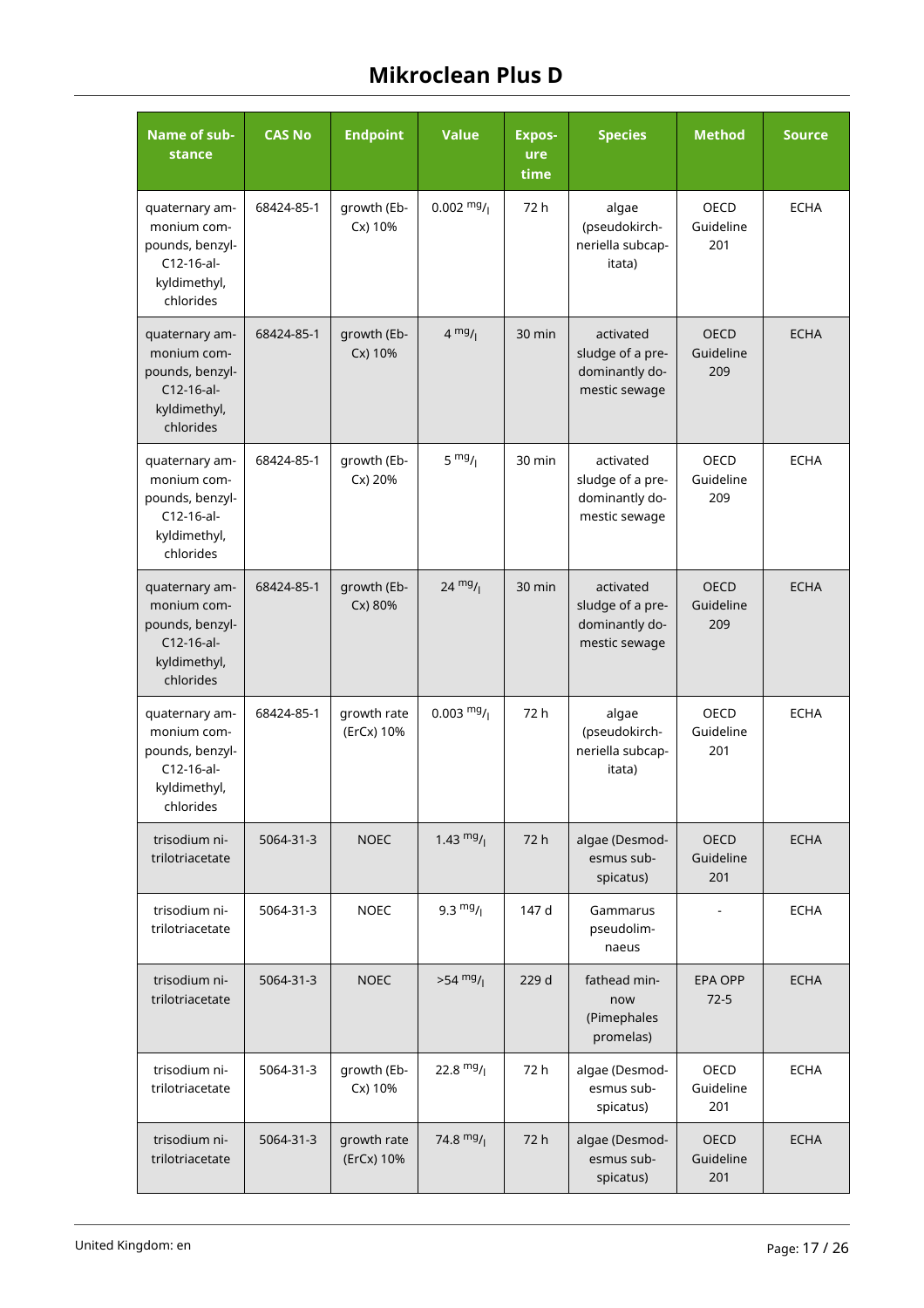| Name of sub-<br>stance                                                                        | <b>CAS No</b> | <b>Endpoint</b>           | <b>Value</b>         | <b>Expos-</b><br>ure<br>time | <b>Species</b>                                                   | <b>Method</b>                   | <b>Source</b> |
|-----------------------------------------------------------------------------------------------|---------------|---------------------------|----------------------|------------------------------|------------------------------------------------------------------|---------------------------------|---------------|
| quaternary am-<br>monium com-<br>pounds, benzyl-<br>C12-16-al-<br>kyldimethyl,<br>chlorides   | 68424-85-1    | growth (Eb-<br>Cx) 10%    | $0.002 \frac{mg}{l}$ | 72 h                         | algae<br>(pseudokirch-<br>neriella subcap-<br>itata)             | <b>OECD</b><br>Guideline<br>201 | <b>ECHA</b>   |
| quaternary am-<br>monium com-<br>pounds, benzyl-<br>C12-16-al-<br>kyldimethyl,<br>chlorides   | 68424-85-1    | growth (Eb-<br>Cx) 10%    | $4 \frac{mg}{l}$     | 30 min                       | activated<br>sludge of a pre-<br>dominantly do-<br>mestic sewage | <b>OECD</b><br>Guideline<br>209 | <b>ECHA</b>   |
| quaternary am-<br>monium com-<br>pounds, benzyl-<br>$C12-16-al-$<br>kyldimethyl,<br>chlorides | 68424-85-1    | growth (Eb-<br>Cx) 20%    | $5 \frac{mg}{l}$     | 30 min                       | activated<br>sludge of a pre-<br>dominantly do-<br>mestic sewage | OECD<br>Guideline<br>209        | <b>ECHA</b>   |
| quaternary am-<br>monium com-<br>pounds, benzyl-<br>$C12-16-al-$<br>kyldimethyl,<br>chlorides | 68424-85-1    | growth (Eb-<br>Cx) 80%    | $24 \frac{mg}{l}$    | 30 min                       | activated<br>sludge of a pre-<br>dominantly do-<br>mestic sewage | <b>OECD</b><br>Guideline<br>209 | <b>ECHA</b>   |
| quaternary am-<br>monium com-<br>pounds, benzyl-<br>C12-16-al-<br>kyldimethyl,<br>chlorides   | 68424-85-1    | growth rate<br>(ErCx) 10% | $0.003 \frac{mg}{l}$ | 72 h                         | algae<br>(pseudokirch-<br>neriella subcap-<br>itata)             | <b>OECD</b><br>Guideline<br>201 | <b>ECHA</b>   |
| trisodium ni-<br>trilotriacetate                                                              | 5064-31-3     | <b>NOEC</b>               | 1.43 $mg/$           | 72 h                         | algae (Desmod-<br>esmus sub-<br>spicatus)                        | <b>OECD</b><br>Guideline<br>201 | <b>ECHA</b>   |
| trisodium ni-<br>trilotriacetate                                                              | 5064-31-3     | <b>NOEC</b>               | $9.3 \frac{mg}{l}$   | 147 d                        | Gammarus<br>pseudolim-<br>naeus                                  |                                 | <b>ECHA</b>   |
| trisodium ni-<br>trilotriacetate                                                              | 5064-31-3     | <b>NOEC</b>               | $>54$ mg/            | 229 d                        | fathead min-<br>now<br>(Pimephales<br>promelas)                  | <b>EPA OPP</b><br>$72-5$        | <b>ECHA</b>   |
| trisodium ni-<br>trilotriacetate                                                              | 5064-31-3     | growth (Eb-<br>Cx) 10%    | 22.8 $mg/$           | 72 h                         | algae (Desmod-<br>esmus sub-<br>spicatus)                        | OECD<br>Guideline<br>201        | <b>ECHA</b>   |
| trisodium ni-<br>trilotriacetate                                                              | 5064-31-3     | growth rate<br>(ErCx) 10% | 74.8 $mg/$           | 72 h                         | algae (Desmod-<br>esmus sub-<br>spicatus)                        | OECD<br>Guideline<br>201        | <b>ECHA</b>   |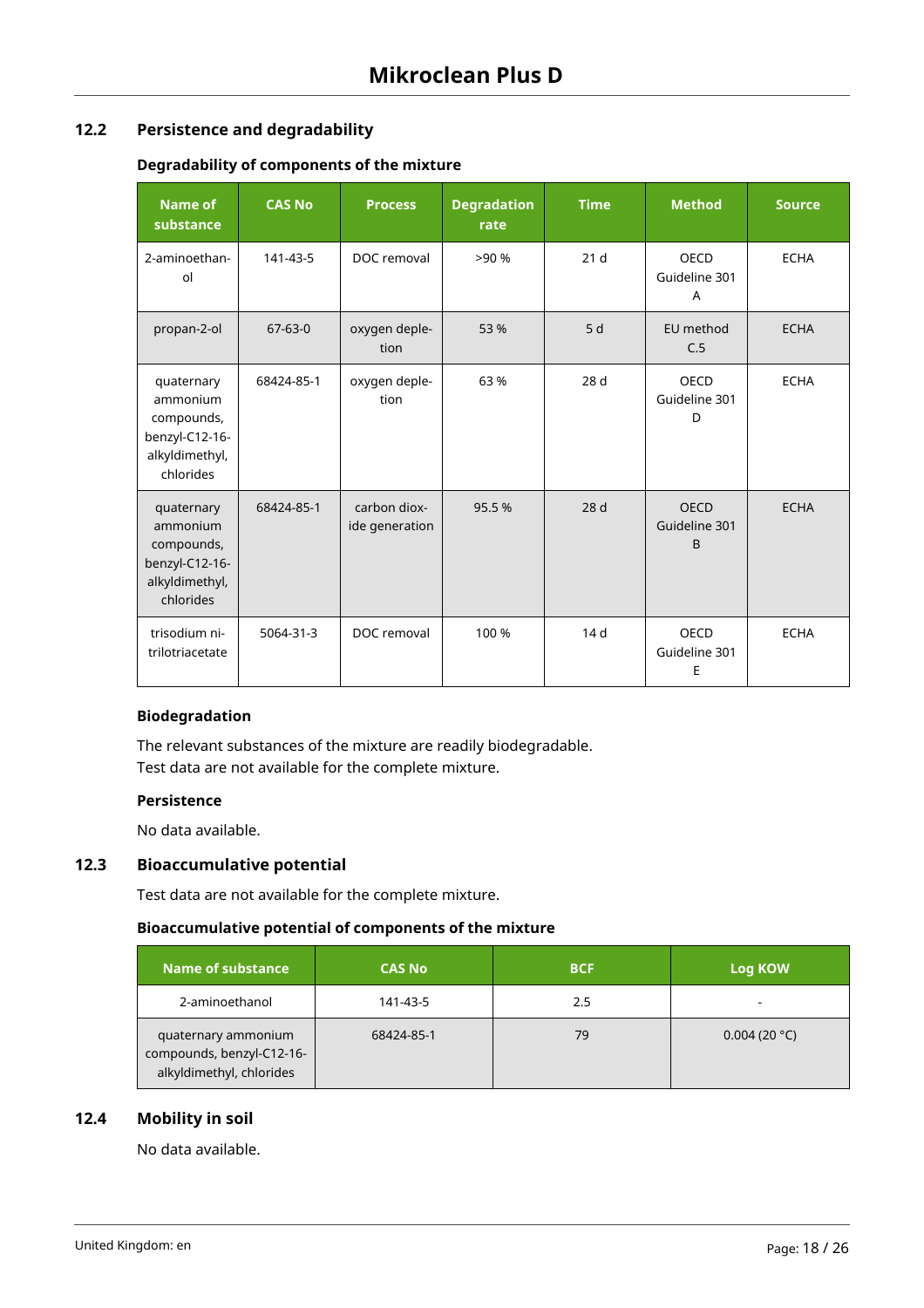## **12.2 Persistence and degradability**

## **Degradability of components of the mixture**

| <b>Name of</b><br>substance                                                           | <b>CAS No</b> | <b>Process</b>                 | <b>Degradation</b><br>rate | <b>Time</b>     | <b>Method</b>                                | <b>Source</b> |
|---------------------------------------------------------------------------------------|---------------|--------------------------------|----------------------------|-----------------|----------------------------------------------|---------------|
| 2-aminoethan-<br>ol                                                                   | 141-43-5      | DOC removal                    | >90%                       | 21 <sub>d</sub> | OECD<br>Guideline 301<br>A                   | <b>ECHA</b>   |
| propan-2-ol                                                                           | $67 - 63 - 0$ | oxygen deple-<br>tion          | 53 %                       | 5d              | EU method<br>C.5                             | <b>ECHA</b>   |
| quaternary<br>ammonium<br>compounds,<br>benzyl-C12-16-<br>alkyldimethyl,<br>chlorides | 68424-85-1    | oxygen deple-<br>tion          | 63 %                       | 28 d            | OECD<br>Guideline 301<br>D                   | <b>ECHA</b>   |
| quaternary<br>ammonium<br>compounds,<br>benzyl-C12-16-<br>alkyldimethyl,<br>chlorides | 68424-85-1    | carbon diox-<br>ide generation | 95.5%                      | 28 <sub>d</sub> | <b>OECD</b><br>Guideline 301<br><sub>B</sub> | <b>ECHA</b>   |
| trisodium ni-<br>trilotriacetate                                                      | 5064-31-3     | DOC removal                    | 100 %                      | 14 <sub>d</sub> | OECD<br>Guideline 301<br>E                   | <b>ECHA</b>   |

## **Biodegradation**

The relevant substances of the mixture are readily biodegradable. Test data are not available for the complete mixture.

## **Persistence**

No data available.

## **12.3 Bioaccumulative potential**

Test data are not available for the complete mixture.

## **Bioaccumulative potential of components of the mixture**

| Name of substance                                                            | <b>CAS No</b> | <b>BCF</b> | Log KOW      |
|------------------------------------------------------------------------------|---------------|------------|--------------|
| 2-aminoethanol                                                               | 141-43-5      | 2.5        | -            |
| quaternary ammonium<br>compounds, benzyl-C12-16-<br>alkyldimethyl, chlorides | 68424-85-1    | 79         | 0.004(20 °C) |

## **12.4 Mobility in soil**

No data available.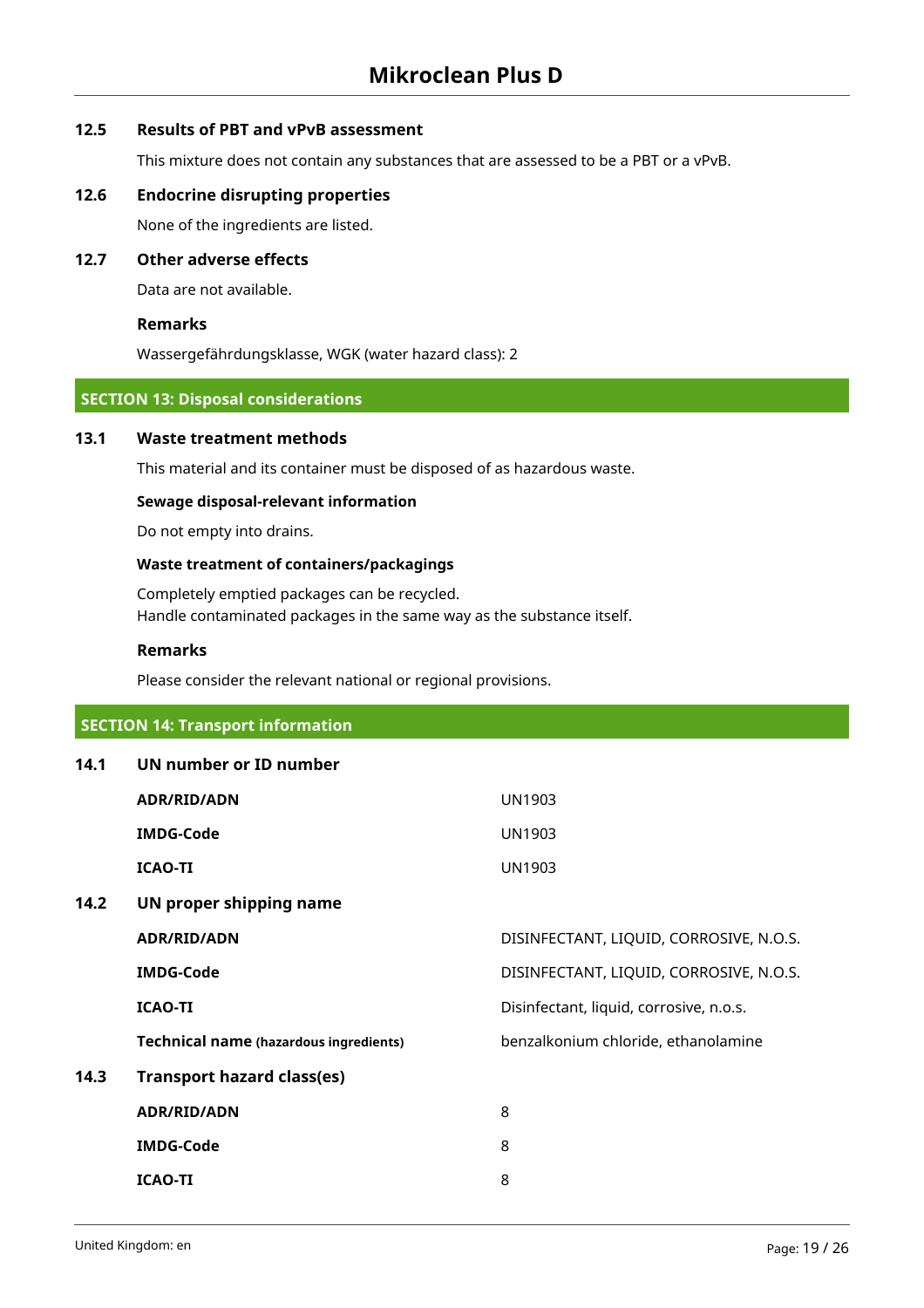## **12.5 Results of PBT and vPvB assessment**

This mixture does not contain any substances that are assessed to be a PBT or a vPvB.

### **12.6 Endocrine disrupting properties**

None of the ingredients are listed.

## **12.7 Other adverse effects**

Data are not available.

#### **Remarks**

Wassergefährdungsklasse, WGK (water hazard class): 2

## **SECTION 13: Disposal considerations**

## **13.1 Waste treatment methods**

This material and its container must be disposed of as hazardous waste.

#### **Sewage disposal-relevant information**

Do not empty into drains.

## **Waste treatment of containers/packagings**

Completely emptied packages can be recycled. Handle contaminated packages in the same way as the substance itself.

#### **Remarks**

Please consider the relevant national or regional provisions.

## **SECTION 14: Transport information**

| 14.1 | UN number or ID number                        |                                         |
|------|-----------------------------------------------|-----------------------------------------|
|      | <b>ADR/RID/ADN</b>                            | <b>UN1903</b>                           |
|      | <b>IMDG-Code</b>                              | <b>UN1903</b>                           |
|      | <b>ICAO-TI</b>                                | <b>UN1903</b>                           |
| 14.2 | UN proper shipping name                       |                                         |
|      | <b>ADR/RID/ADN</b>                            | DISINFECTANT, LIQUID, CORROSIVE, N.O.S. |
|      | <b>IMDG-Code</b>                              | DISINFECTANT, LIQUID, CORROSIVE, N.O.S. |
|      | <b>ICAO-TI</b>                                | Disinfectant, liquid, corrosive, n.o.s. |
|      | <b>Technical name (hazardous ingredients)</b> | benzalkonium chloride, ethanolamine     |
| 14.3 | <b>Transport hazard class(es)</b>             |                                         |
|      | <b>ADR/RID/ADN</b>                            | 8                                       |
|      | <b>IMDG-Code</b>                              | 8                                       |
|      | <b>ICAO-TI</b>                                | 8                                       |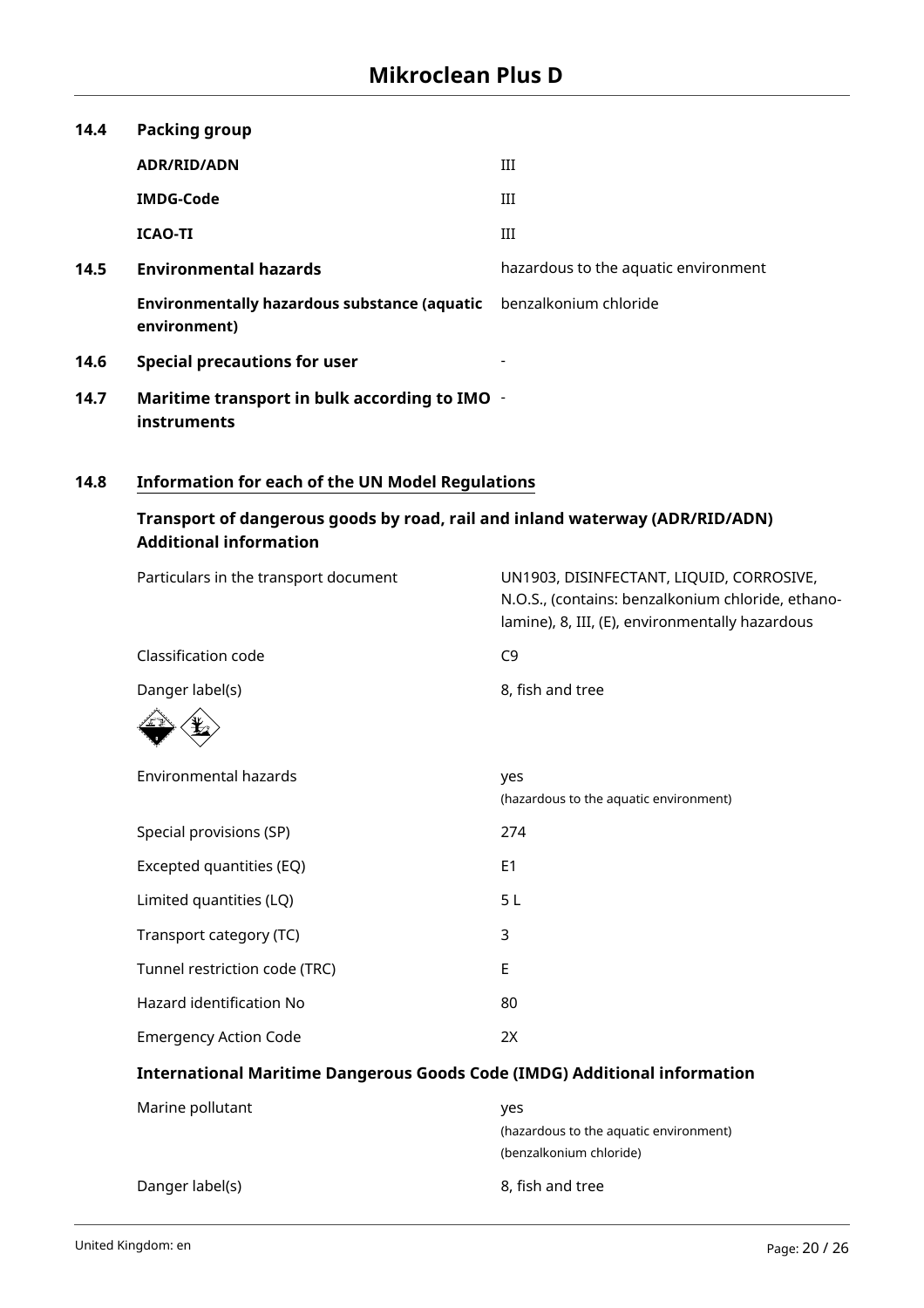| 14.4 | <b>Packing group</b>                                                |                                      |
|------|---------------------------------------------------------------------|--------------------------------------|
|      | <b>ADR/RID/ADN</b>                                                  | III                                  |
|      | <b>IMDG-Code</b>                                                    | III                                  |
|      | <b>ICAO-TI</b>                                                      | Ш                                    |
| 14.5 | <b>Environmental hazards</b>                                        | hazardous to the aquatic environment |
|      | <b>Environmentally hazardous substance (aquatic</b><br>environment) | benzalkonium chloride                |
| 14.6 | <b>Special precautions for user</b>                                 |                                      |
| 14.7 | Maritime transport in bulk according to IMO -<br>instruments        |                                      |

## **14.8 Information for each of the UN Model Regulations**

## **Transport of dangerous goods by road, rail and inland waterway (ADR/RID/ADN) Additional information**

| Particulars in the transport document                                            | UN1903, DISINFECTANT, LIQUID, CORROSIVE,<br>N.O.S., (contains: benzalkonium chloride, ethano-<br>lamine), 8, III, (E), environmentally hazardous |
|----------------------------------------------------------------------------------|--------------------------------------------------------------------------------------------------------------------------------------------------|
| Classification code                                                              | C <sub>9</sub>                                                                                                                                   |
| Danger label(s)                                                                  | 8, fish and tree                                                                                                                                 |
|                                                                                  |                                                                                                                                                  |
| <b>Environmental hazards</b>                                                     | yes<br>(hazardous to the aquatic environment)                                                                                                    |
| Special provisions (SP)                                                          | 274                                                                                                                                              |
| Excepted quantities (EQ)                                                         | E <sub>1</sub>                                                                                                                                   |
| Limited quantities (LQ)                                                          | 5L                                                                                                                                               |
| Transport category (TC)                                                          | 3                                                                                                                                                |
| Tunnel restriction code (TRC)                                                    | E                                                                                                                                                |
| Hazard identification No                                                         | 80                                                                                                                                               |
| <b>Emergency Action Code</b>                                                     | 2X                                                                                                                                               |
| <b>International Maritime Dangerous Goods Code (IMDG) Additional information</b> |                                                                                                                                                  |
| Marine pollutant                                                                 | yes                                                                                                                                              |
|                                                                                  | (hazardous to the aquatic environment)                                                                                                           |
|                                                                                  | (benzalkonium chloride)                                                                                                                          |

Danger label(s) 8, fish and tree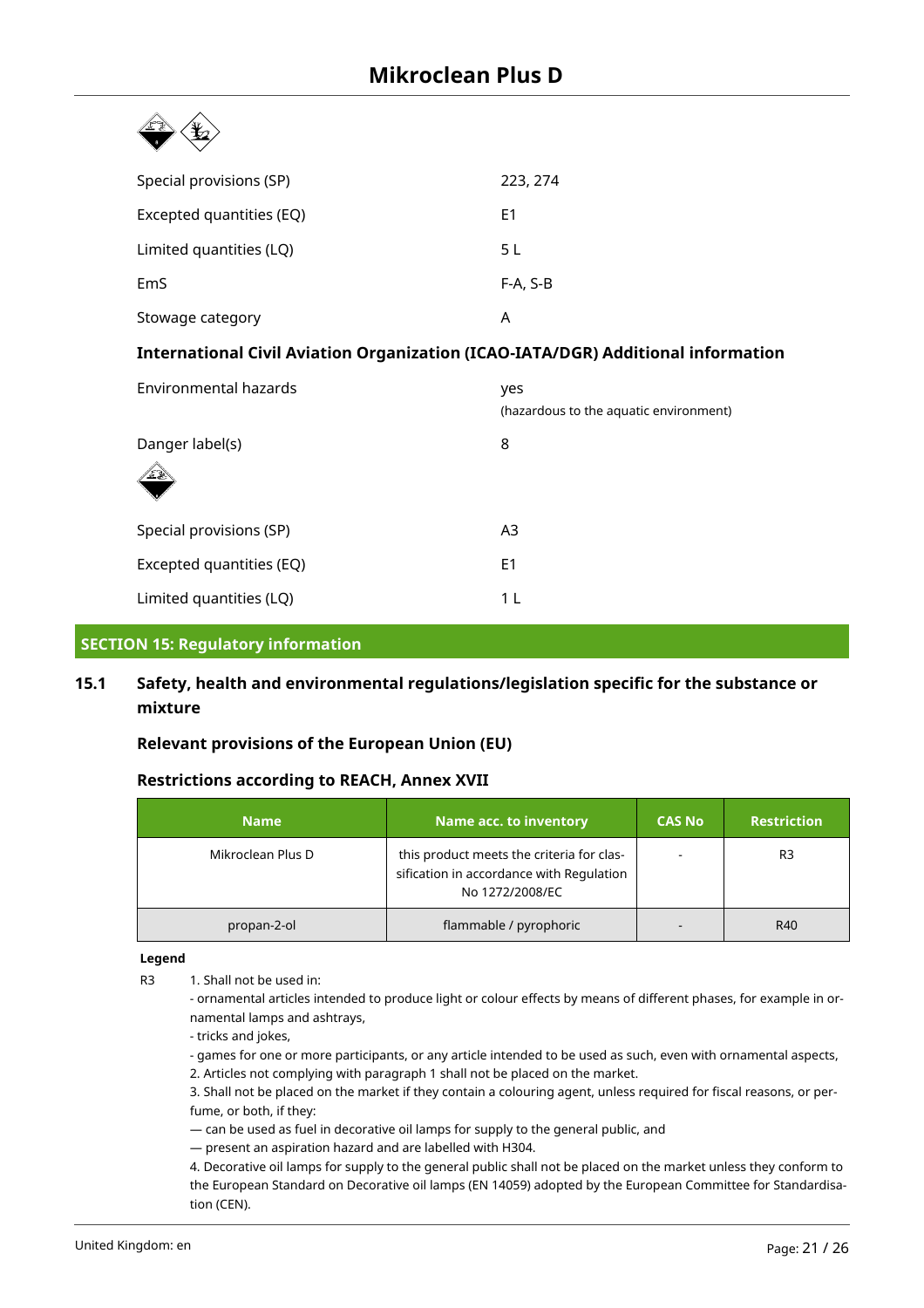| Special provisions (SP)                                                                 | 223, 274                                      |  |  |
|-----------------------------------------------------------------------------------------|-----------------------------------------------|--|--|
| Excepted quantities (EQ)                                                                | E <sub>1</sub>                                |  |  |
| Limited quantities (LQ)                                                                 | 5L                                            |  |  |
| EmS                                                                                     | F-A, S-B                                      |  |  |
| Stowage category                                                                        | A                                             |  |  |
| <b>International Civil Aviation Organization (ICAO-IATA/DGR) Additional information</b> |                                               |  |  |
| Environmental hazards                                                                   | yes<br>(hazardous to the aquatic environment) |  |  |
| Danger label(s)                                                                         | 8                                             |  |  |
|                                                                                         |                                               |  |  |
| Special provisions (SP)                                                                 | A3                                            |  |  |

## **15.1 Safety, health and environmental regulations/legislation specific for the substance or mixture**

**SECTION 15: Regulatory information**

## **Relevant provisions of the European Union (EU)**

Excepted quantities (EQ) E1

Limited quantities (LQ) 1 L

## **Restrictions according to REACH, Annex XVII**

| <b>Name</b>       | Name acc. to inventory                                                                                   | <b>CAS No</b> | <b>Restriction</b> |
|-------------------|----------------------------------------------------------------------------------------------------------|---------------|--------------------|
| Mikroclean Plus D | this product meets the criteria for clas-<br>sification in accordance with Regulation<br>No 1272/2008/EC |               | R3                 |
| propan-2-ol       | flammable / pyrophoric                                                                                   |               | R40                |

#### **Legend**

R3 1. Shall not be used in:

- ornamental articles intended to produce light or colour effects by means of different phases, for example in ornamental lamps and ashtrays,

- tricks and jokes,

- games for one or more participants, or any article intended to be used as such, even with ornamental aspects, 2. Articles not complying with paragraph 1 shall not be placed on the market.

3. Shall not be placed on the market if they contain a colouring agent, unless required for fiscal reasons, or perfume, or both, if they:

— can be used as fuel in decorative oil lamps for supply to the general public, and

— present an aspiration hazard and are labelled with H304.

4. Decorative oil lamps for supply to the general public shall not be placed on the market unless they conform to the European Standard on Decorative oil lamps (EN 14059) adopted by the European Committee for Standardisation (CEN).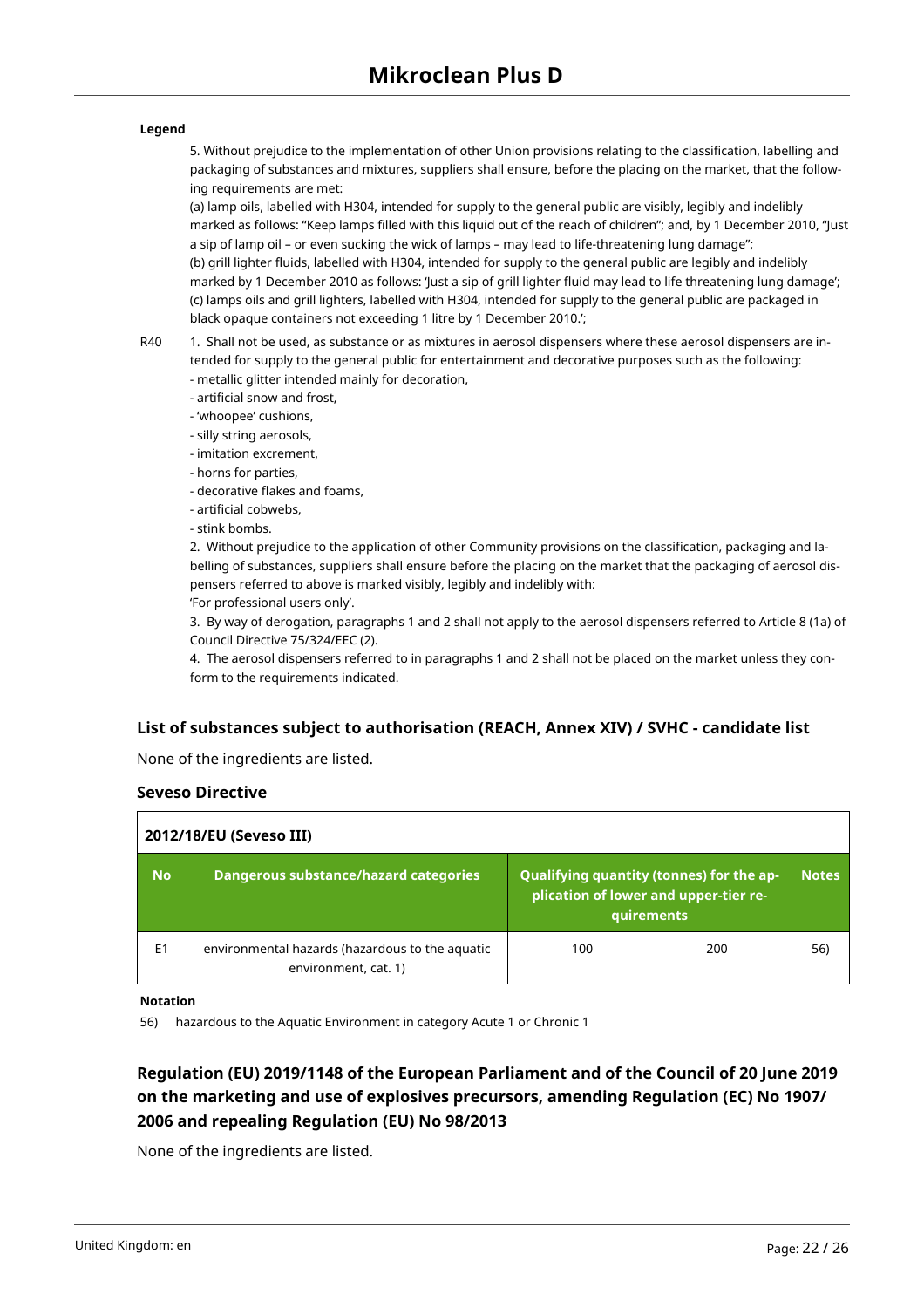#### **Legend**

5. Without prejudice to the implementation of other Union provisions relating to the classification, labelling and packaging of substances and mixtures, suppliers shall ensure, before the placing on the market, that the following requirements are met:

(a) lamp oils, labelled with H304, intended for supply to the general public are visibly, legibly and indelibly marked as follows: "Keep lamps filled with this liquid out of the reach of children"; and, by 1 December 2010, "Just a sip of lamp oil – or even sucking the wick of lamps – may lead to life-threatening lung damage"; (b) grill lighter fluids, labelled with H304, intended for supply to the general public are legibly and indelibly marked by 1 December 2010 as follows: 'Just a sip of grill lighter fluid may lead to life threatening lung damage'; (c) lamps oils and grill lighters, labelled with H304, intended for supply to the general public are packaged in black opaque containers not exceeding 1 litre by 1 December 2010.';

R40 1. Shall not be used, as substance or as mixtures in aerosol dispensers where these aerosol dispensers are intended for supply to the general public for entertainment and decorative purposes such as the following: - metallic glitter intended mainly for decoration,

- artificial snow and frost,
- 'whoopee' cushions,
- silly string aerosols,
- imitation excrement,
- horns for parties,
- decorative flakes and foams,
- artificial cobwebs,
- stink bombs.

2. Without prejudice to the application of other Community provisions on the classification, packaging and labelling of substances, suppliers shall ensure before the placing on the market that the packaging of aerosol dispensers referred to above is marked visibly, legibly and indelibly with:

'For professional users only'.

3. By way of derogation, paragraphs 1 and 2 shall not apply to the aerosol dispensers referred to Article 8 (1a) of Council Directive 75/324/EEC (2).

4. The aerosol dispensers referred to in paragraphs 1 and 2 shall not be placed on the market unless they conform to the requirements indicated.

## **List of substances subject to authorisation (REACH, Annex XIV) / SVHC - candidate list**

None of the ingredients are listed.

#### **Seveso Directive**

| 2012/18/EU (Seveso III) |                                                                         |                                                                                                 |              |  |  |
|-------------------------|-------------------------------------------------------------------------|-------------------------------------------------------------------------------------------------|--------------|--|--|
| <b>No</b>               | <b>Dangerous substance/hazard categories</b>                            | Qualifying quantity (tonnes) for the ap-<br>plication of lower and upper-tier re-<br>quirements | <b>Notes</b> |  |  |
| E <sub>1</sub>          | environmental hazards (hazardous to the aquatic<br>environment, cat. 1) | 100<br>200                                                                                      | 56)          |  |  |

**Notation**

56) hazardous to the Aquatic Environment in category Acute 1 or Chronic 1

## **Regulation (EU) 2019/1148 of the European Parliament and of the Council of 20 June 2019 on the marketing and use of explosives precursors, amending Regulation (EC) No 1907/ 2006 and repealing Regulation (EU) No 98/2013**

None of the ingredients are listed.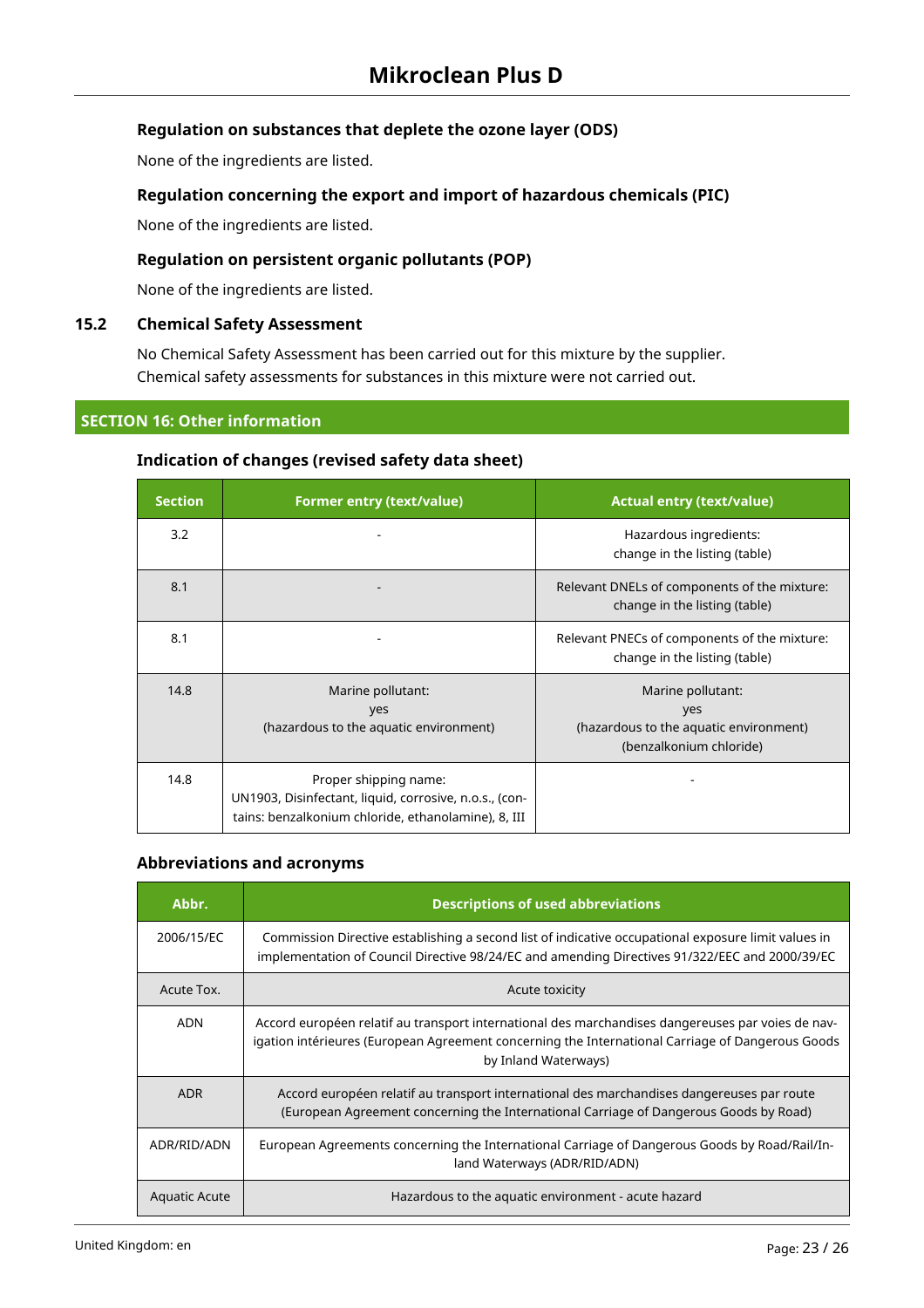## **Regulation on substances that deplete the ozone layer (ODS)**

None of the ingredients are listed.

## **Regulation concerning the export and import of hazardous chemicals (PIC)**

None of the ingredients are listed.

## **Regulation on persistent organic pollutants (POP)**

None of the ingredients are listed.

## **15.2 Chemical Safety Assessment**

No Chemical Safety Assessment has been carried out for this mixture by the supplier. Chemical safety assessments for substances in this mixture were not carried out.

## **SECTION 16: Other information**

## **Indication of changes (revised safety data sheet)**

| <b>Section</b> | <b>Former entry (text/value)</b>                                                                                                       | <b>Actual entry (text/value)</b>                                                              |
|----------------|----------------------------------------------------------------------------------------------------------------------------------------|-----------------------------------------------------------------------------------------------|
| 3.2            |                                                                                                                                        | Hazardous ingredients:<br>change in the listing (table)                                       |
| 8.1            |                                                                                                                                        | Relevant DNELs of components of the mixture:<br>change in the listing (table)                 |
| 8.1            |                                                                                                                                        | Relevant PNECs of components of the mixture:<br>change in the listing (table)                 |
| 14.8           | Marine pollutant:<br>yes<br>(hazardous to the aquatic environment)                                                                     | Marine pollutant:<br>yes<br>(hazardous to the aquatic environment)<br>(benzalkonium chloride) |
| 14.8           | Proper shipping name:<br>UN1903, Disinfectant, liquid, corrosive, n.o.s., (con-<br>tains: benzalkonium chloride, ethanolamine), 8, III |                                                                                               |

## **Abbreviations and acronyms**

| Abbr.                | <b>Descriptions of used abbreviations</b>                                                                                                                                                                                     |
|----------------------|-------------------------------------------------------------------------------------------------------------------------------------------------------------------------------------------------------------------------------|
| 2006/15/EC           | Commission Directive establishing a second list of indicative occupational exposure limit values in<br>implementation of Council Directive 98/24/EC and amending Directives 91/322/EEC and 2000/39/EC                         |
| Acute Tox.           | Acute toxicity                                                                                                                                                                                                                |
| <b>ADN</b>           | Accord européen relatif au transport international des marchandises dangereuses par voies de nav-<br>igation intérieures (European Agreement concerning the International Carriage of Dangerous Goods<br>by Inland Waterways) |
| <b>ADR</b>           | Accord européen relatif au transport international des marchandises dangereuses par route<br>(European Agreement concerning the International Carriage of Dangerous Goods by Road)                                            |
| ADR/RID/ADN          | European Agreements concerning the International Carriage of Dangerous Goods by Road/Rail/In-<br>land Waterways (ADR/RID/ADN)                                                                                                 |
| <b>Aquatic Acute</b> | Hazardous to the aquatic environment - acute hazard                                                                                                                                                                           |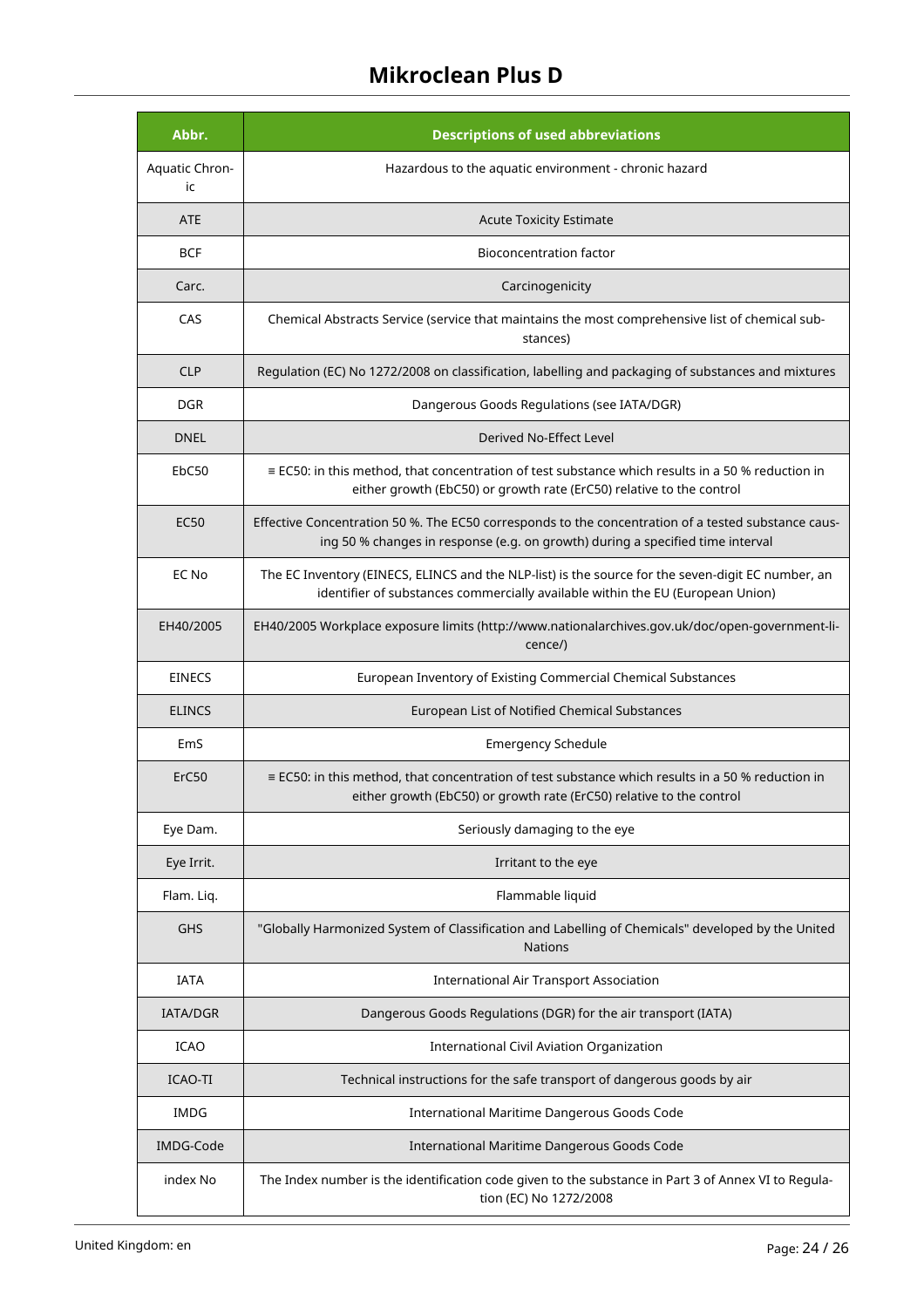| Abbr.                | <b>Descriptions of used abbreviations</b>                                                                                                                                             |
|----------------------|---------------------------------------------------------------------------------------------------------------------------------------------------------------------------------------|
| Aquatic Chron-<br>ic | Hazardous to the aquatic environment - chronic hazard                                                                                                                                 |
| <b>ATE</b>           | <b>Acute Toxicity Estimate</b>                                                                                                                                                        |
| <b>BCF</b>           | <b>Bioconcentration factor</b>                                                                                                                                                        |
| Carc.                | Carcinogenicity                                                                                                                                                                       |
| CAS                  | Chemical Abstracts Service (service that maintains the most comprehensive list of chemical sub-<br>stances)                                                                           |
| <b>CLP</b>           | Regulation (EC) No 1272/2008 on classification, labelling and packaging of substances and mixtures                                                                                    |
| <b>DGR</b>           | Dangerous Goods Regulations (see IATA/DGR)                                                                                                                                            |
| <b>DNEL</b>          | Derived No-Effect Level                                                                                                                                                               |
| EbC50                | $\equiv$ EC50: in this method, that concentration of test substance which results in a 50 % reduction in<br>either growth (EbC50) or growth rate (ErC50) relative to the control      |
| <b>EC50</b>          | Effective Concentration 50 %. The EC50 corresponds to the concentration of a tested substance caus-<br>ing 50 % changes in response (e.g. on growth) during a specified time interval |
| EC No                | The EC Inventory (EINECS, ELINCS and the NLP-list) is the source for the seven-digit EC number, an<br>identifier of substances commercially available within the EU (European Union)  |
| EH40/2005            | EH40/2005 Workplace exposure limits (http://www.nationalarchives.gov.uk/doc/open-government-li-<br>cence/)                                                                            |
| <b>EINECS</b>        | European Inventory of Existing Commercial Chemical Substances                                                                                                                         |
| <b>ELINCS</b>        | European List of Notified Chemical Substances                                                                                                                                         |
| EmS                  | <b>Emergency Schedule</b>                                                                                                                                                             |
| ErC50                | $\equiv$ EC50: in this method, that concentration of test substance which results in a 50 % reduction in<br>either growth (EbC50) or growth rate (ErC50) relative to the control      |
| Eye Dam.             | Seriously damaging to the eye                                                                                                                                                         |
| Eye Irrit.           | Irritant to the eye                                                                                                                                                                   |
| Flam. Liq.           | Flammable liquid                                                                                                                                                                      |
| <b>GHS</b>           | "Globally Harmonized System of Classification and Labelling of Chemicals" developed by the United<br><b>Nations</b>                                                                   |
| <b>IATA</b>          | <b>International Air Transport Association</b>                                                                                                                                        |
| <b>IATA/DGR</b>      | Dangerous Goods Regulations (DGR) for the air transport (IATA)                                                                                                                        |
| ICAO                 | <b>International Civil Aviation Organization</b>                                                                                                                                      |
| ICAO-TI              | Technical instructions for the safe transport of dangerous goods by air                                                                                                               |
| <b>IMDG</b>          | International Maritime Dangerous Goods Code                                                                                                                                           |
| IMDG-Code            | International Maritime Dangerous Goods Code                                                                                                                                           |
| index No             | The Index number is the identification code given to the substance in Part 3 of Annex VI to Regula-<br>tion (EC) No 1272/2008                                                         |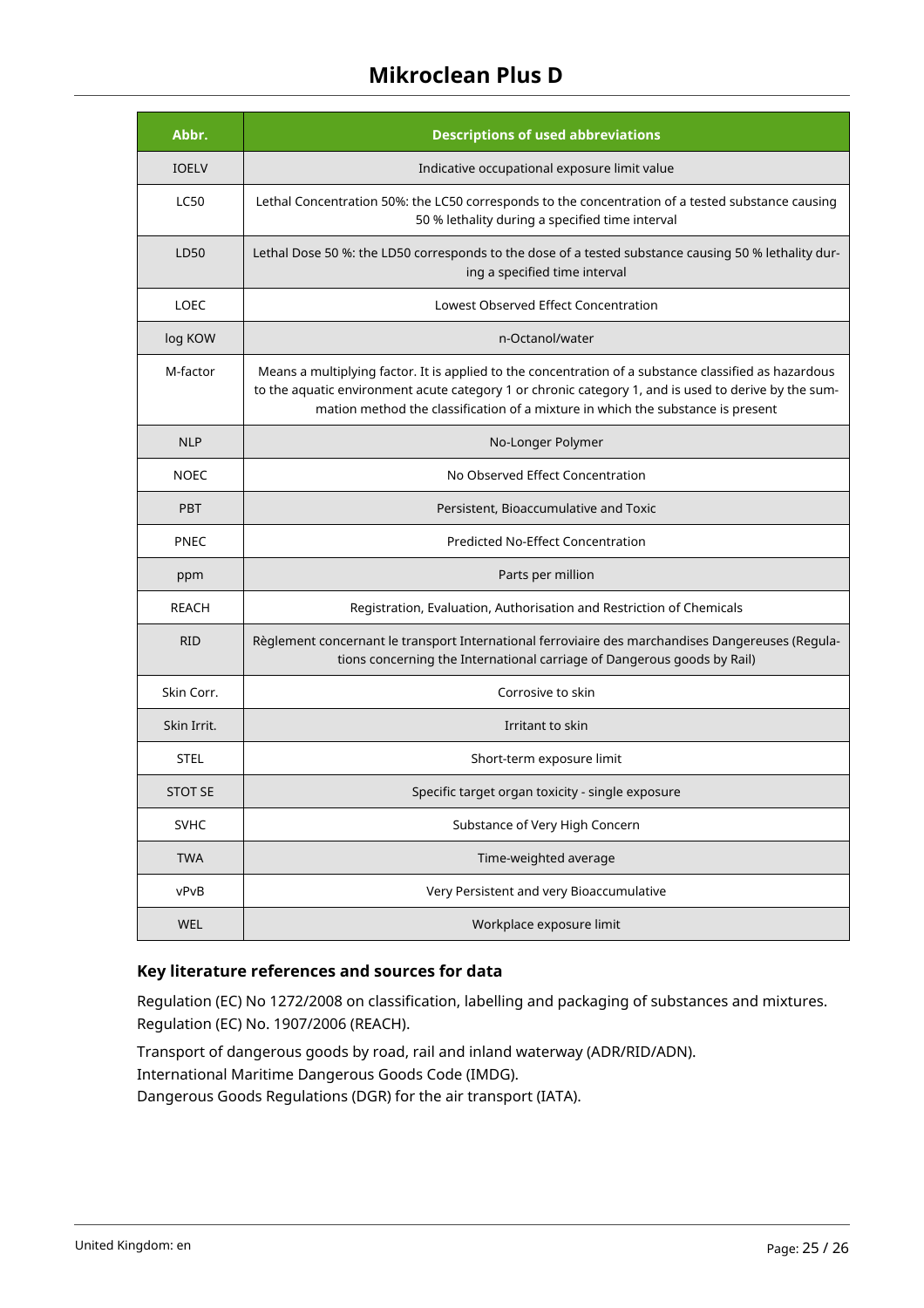| Abbr.          | <b>Descriptions of used abbreviations</b>                                                                                                                                                                                                                                                        |
|----------------|--------------------------------------------------------------------------------------------------------------------------------------------------------------------------------------------------------------------------------------------------------------------------------------------------|
| <b>IOELV</b>   | Indicative occupational exposure limit value                                                                                                                                                                                                                                                     |
| <b>LC50</b>    | Lethal Concentration 50%: the LC50 corresponds to the concentration of a tested substance causing<br>50 % lethality during a specified time interval                                                                                                                                             |
| LD50           | Lethal Dose 50 %: the LD50 corresponds to the dose of a tested substance causing 50 % lethality dur-<br>ing a specified time interval                                                                                                                                                            |
| <b>LOEC</b>    | Lowest Observed Effect Concentration                                                                                                                                                                                                                                                             |
| log KOW        | n-Octanol/water                                                                                                                                                                                                                                                                                  |
| M-factor       | Means a multiplying factor. It is applied to the concentration of a substance classified as hazardous<br>to the aquatic environment acute category 1 or chronic category 1, and is used to derive by the sum-<br>mation method the classification of a mixture in which the substance is present |
| <b>NLP</b>     | No-Longer Polymer                                                                                                                                                                                                                                                                                |
| <b>NOEC</b>    | No Observed Effect Concentration                                                                                                                                                                                                                                                                 |
| <b>PBT</b>     | Persistent, Bioaccumulative and Toxic                                                                                                                                                                                                                                                            |
| <b>PNEC</b>    | <b>Predicted No-Effect Concentration</b>                                                                                                                                                                                                                                                         |
| ppm            | Parts per million                                                                                                                                                                                                                                                                                |
| <b>REACH</b>   | Registration, Evaluation, Authorisation and Restriction of Chemicals                                                                                                                                                                                                                             |
| <b>RID</b>     | Règlement concernant le transport International ferroviaire des marchandises Dangereuses (Regula-<br>tions concerning the International carriage of Dangerous goods by Rail)                                                                                                                     |
| Skin Corr.     | Corrosive to skin                                                                                                                                                                                                                                                                                |
| Skin Irrit.    | Irritant to skin                                                                                                                                                                                                                                                                                 |
| <b>STEL</b>    | Short-term exposure limit                                                                                                                                                                                                                                                                        |
| <b>STOT SE</b> | Specific target organ toxicity - single exposure                                                                                                                                                                                                                                                 |
| SVHC           | Substance of Very High Concern                                                                                                                                                                                                                                                                   |
| <b>TWA</b>     | Time-weighted average                                                                                                                                                                                                                                                                            |
| vPvB           | Very Persistent and very Bioaccumulative                                                                                                                                                                                                                                                         |
| WEL            | Workplace exposure limit                                                                                                                                                                                                                                                                         |

## **Key literature references and sources for data**

Regulation (EC) No 1272/2008 on classification, labelling and packaging of substances and mixtures. Regulation (EC) No. 1907/2006 (REACH).

Transport of dangerous goods by road, rail and inland waterway (ADR/RID/ADN). International Maritime Dangerous Goods Code (IMDG). Dangerous Goods Regulations (DGR) for the air transport (IATA).